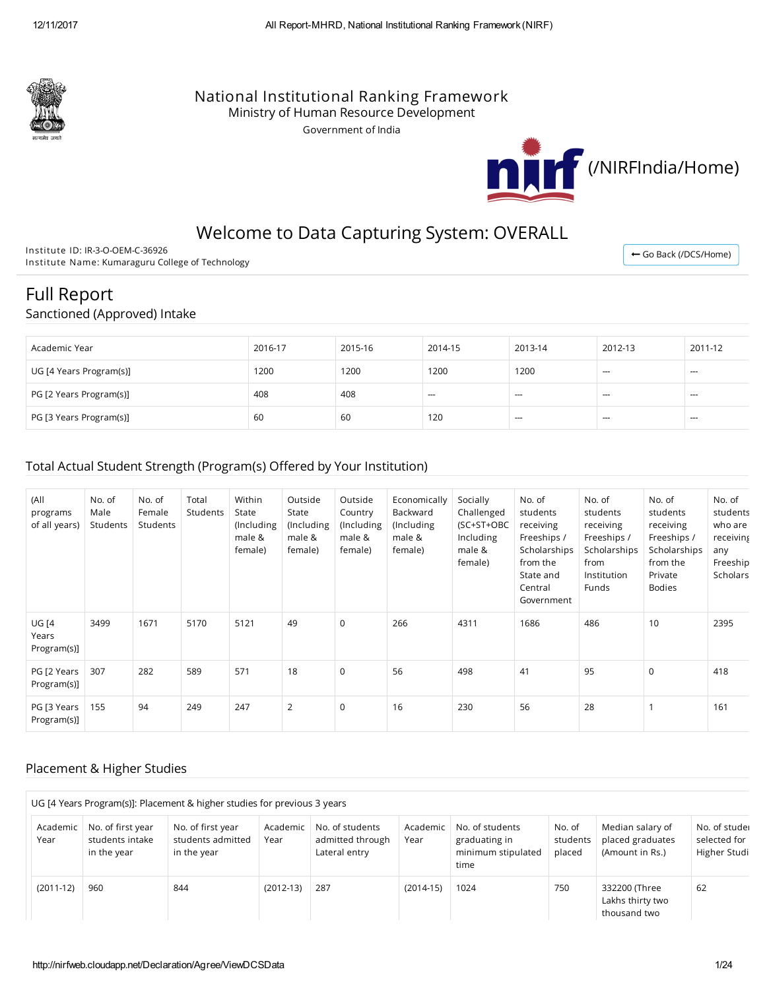

## National Institutional Ranking Framework

Ministry of Human Resource Development

Government of India



← Go Back [\(/DCS/Home\)](http://nirfweb.cloudapp.net/DCS/Home)

# Welcome to Data Capturing System: OVERALL

Institute ID: IR-3-O-OEM-C-36926 Institute Name: Kumaraguru College of Technology

# Full Report

## Sanctioned (Approved) Intake

| Academic Year           | 2016-17 | 2015-16 | 2014-15 | 2013-14 | 2012-13 | 2011-12 |
|-------------------------|---------|---------|---------|---------|---------|---------|
| UG [4 Years Program(s)] | 1200    | 1200    | 1200    | 1200    | ---     | $-$     |
| PG [2 Years Program(s)] | 408     | 408     | $--$    | $- - -$ | $- - -$ | $-$     |
| PG [3 Years Program(s)] | 60      | 60      | 120     | $-$     | $- - -$ | $-$     |

## Total Actual Student Strength (Program(s) Offered by Your Institution)

| (A  <br>programs<br>of all years)    | No. of<br>Male<br>Students | No. of<br>Female<br>Students | Total<br><b>Students</b> | Within<br>State<br>(Including<br>male &<br>female) | Outside<br>State<br>(Including<br>male &<br>female) | Outside<br>Country<br>(Including<br>male &<br>female) | Economically<br>Backward<br>(Including<br>male &<br>female) | Socially<br>Challenged<br>(SC+ST+OBC<br>Including<br>male &<br>female) | No. of<br>students<br>receiving<br>Freeships /<br>Scholarships<br>from the<br>State and<br>Central<br>Government | No. of<br>students<br>receiving<br>Freeships /<br>Scholarships<br>from<br>Institution<br>Funds | No. of<br>students<br>receiving<br>Freeships /<br>Scholarships<br>from the<br>Private<br><b>Bodies</b> | No. of<br>students<br>who are<br>receiving<br>any<br>Freeship<br>Scholars |
|--------------------------------------|----------------------------|------------------------------|--------------------------|----------------------------------------------------|-----------------------------------------------------|-------------------------------------------------------|-------------------------------------------------------------|------------------------------------------------------------------------|------------------------------------------------------------------------------------------------------------------|------------------------------------------------------------------------------------------------|--------------------------------------------------------------------------------------------------------|---------------------------------------------------------------------------|
| <b>UG [4</b><br>Years<br>Program(s)] | 3499                       | 1671                         | 5170                     | 5121                                               | 49                                                  | $\mathbf 0$                                           | 266                                                         | 4311                                                                   | 1686                                                                                                             | 486                                                                                            | 10                                                                                                     | 2395                                                                      |
| PG [2 Years<br>Program(s)]           | 307                        | 282                          | 589                      | 571                                                | 18                                                  | $\mathbf 0$                                           | 56                                                          | 498                                                                    | 41                                                                                                               | 95                                                                                             | $\mathbf 0$                                                                                            | 418                                                                       |
| PG [3 Years<br>Program(s)]           | 155                        | 94                           | 249                      | 247                                                | $\overline{2}$                                      | $\mathbf 0$                                           | 16                                                          | 230                                                                    | 56                                                                                                               | 28                                                                                             |                                                                                                        | 161                                                                       |

## Placement & Higher Studies

|                  |                                                     | UG [4 Years Program(s)]: Placement & higher studies for previous 3 years |                  |                                                      |                  |                                                                |                              |                                                         |                                              |
|------------------|-----------------------------------------------------|--------------------------------------------------------------------------|------------------|------------------------------------------------------|------------------|----------------------------------------------------------------|------------------------------|---------------------------------------------------------|----------------------------------------------|
| Academic<br>Year | No. of first year<br>students intake<br>in the year | No. of first year<br>students admitted<br>in the year                    | Academic<br>Year | No. of students<br>admitted through<br>Lateral entry | Academic<br>Year | No. of students<br>graduating in<br>minimum stipulated<br>time | No. of<br>students<br>placed | Median salary of<br>placed graduates<br>(Amount in Rs.) | No. of stude<br>selected for<br>Higher Studi |
| $(2011-12)$      | 960                                                 | 844                                                                      | $(2012-13)$      | 287                                                  | $(2014-15)$      | 1024                                                           | 750                          | 332200 (Three<br>Lakhs thirty two<br>thousand two       | 62                                           |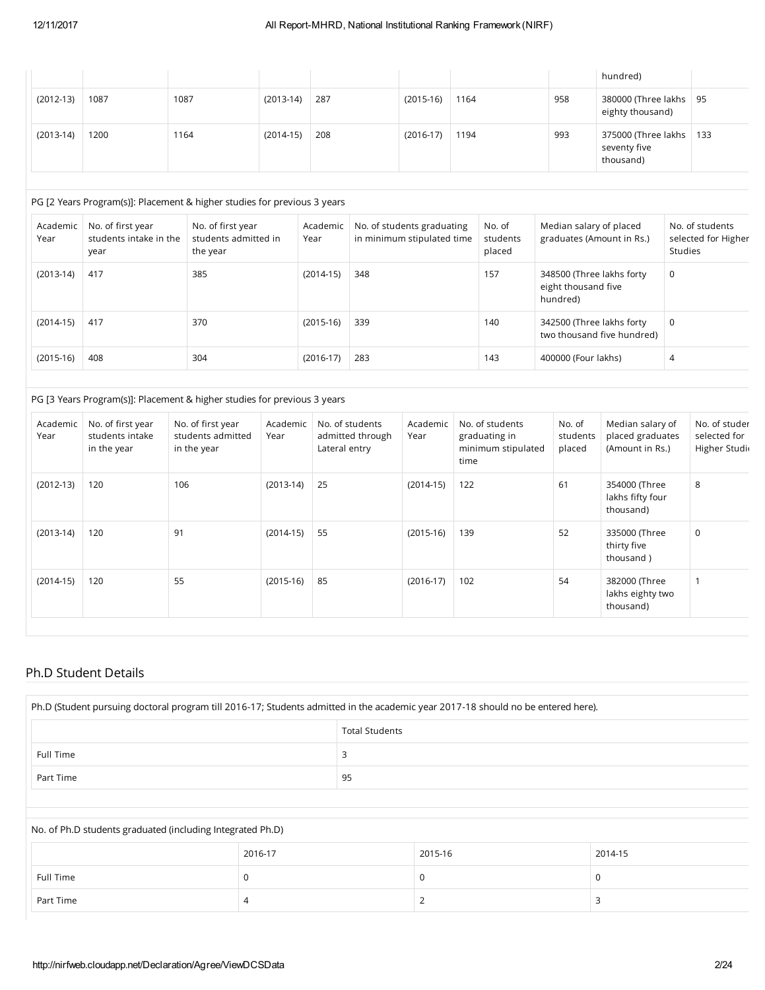|             |      |      |             |     |             |      |     | hundred)                                               |  |
|-------------|------|------|-------------|-----|-------------|------|-----|--------------------------------------------------------|--|
| $(2012-13)$ | 1087 | 1087 | $(2013-14)$ | 287 | $(2015-16)$ | 1164 | 958 | 380000 (Three lakhs   95<br>eighty thousand)           |  |
| $(2013-14)$ | 1200 | 1164 | $(2014-15)$ | 208 | $(2016-17)$ | 1194 | 993 | 375000 (Three lakhs   133<br>seventy five<br>thousand) |  |

#### PG [2 Years Program(s)]: Placement & higher studies for previous 3 years

| Academic<br>Year | No. of first year<br>students intake in the<br>year | No. of first year<br>students admitted in<br>the year | Academic<br>Year | No. of students graduating<br>in minimum stipulated time | No. of<br>students<br>placed | Median salary of placed<br>graduates (Amount in Rs.)         | No. of students<br>selected for Higher<br>Studies |
|------------------|-----------------------------------------------------|-------------------------------------------------------|------------------|----------------------------------------------------------|------------------------------|--------------------------------------------------------------|---------------------------------------------------|
| $(2013-14)$      | 417                                                 | 385                                                   | $(2014-15)$      | 348                                                      | 157                          | 348500 (Three lakhs forty<br>eight thousand five<br>hundred) | 0                                                 |
| $(2014-15)$      | 417                                                 | 370                                                   | $(2015-16)$      | 339                                                      | 140                          | 342500 (Three lakhs forty<br>two thousand five hundred)      | $\mathbf 0$                                       |
| $(2015-16)$      | 408                                                 | 304                                                   | $(2016-17)$      | 283                                                      | 143                          | 400000 (Four lakhs)                                          | 4                                                 |

#### PG [3 Years Program(s)]: Placement & higher studies for previous 3 years

| Academic<br>Year | No. of first year<br>students intake<br>in the year | No. of first year<br>students admitted<br>in the year | Academic<br>Year | No. of students<br>admitted through<br>Lateral entry | Academic<br>Year | No. of students<br>graduating in<br>minimum stipulated<br>time | No. of<br>students<br>placed | Median salary of<br>placed graduates<br>(Amount in Rs.) | No. of studer<br>selected for<br>Higher Studi |
|------------------|-----------------------------------------------------|-------------------------------------------------------|------------------|------------------------------------------------------|------------------|----------------------------------------------------------------|------------------------------|---------------------------------------------------------|-----------------------------------------------|
| $(2012-13)$      | 120                                                 | 106                                                   | $(2013-14)$      | 25                                                   | $(2014-15)$      | 122                                                            | 61                           | 354000 (Three<br>lakhs fifty four<br>thousand)          | 8                                             |
| $(2013-14)$      | 120                                                 | 91                                                    | $(2014-15)$      | 55                                                   | $(2015-16)$      | 139                                                            | 52                           | 335000 (Three<br>thirty five<br>thousand)               | 0                                             |
| $(2014-15)$      | 120                                                 | 55                                                    | $(2015-16)$      | 85                                                   | $(2016-17)$      | 102                                                            | 54                           | 382000 (Three<br>lakhs eighty two<br>thousand)          |                                               |

## Ph.D Student Details

| Ph.D (Student pursuing doctoral program till 2016-17; Students admitted in the academic year 2017-18 should no be entered here). |  |  |  |  |  |
|----------------------------------------------------------------------------------------------------------------------------------|--|--|--|--|--|
| <b>Total Students</b>                                                                                                            |  |  |  |  |  |
| Full Time                                                                                                                        |  |  |  |  |  |
| -95<br>Part Time                                                                                                                 |  |  |  |  |  |
|                                                                                                                                  |  |  |  |  |  |

## No. of Ph.D students graduated (including Integrated Ph.D) 2016-17 2015-16 2014-15 Full Time  $\begin{array}{c|c} \text{O} & \text{O} & \text{O} \end{array}$ Part Time  $\begin{array}{|c|c|c|c|c|}\n\hline\n & 4 & 2 & 3 \\
\hline\n\end{array}$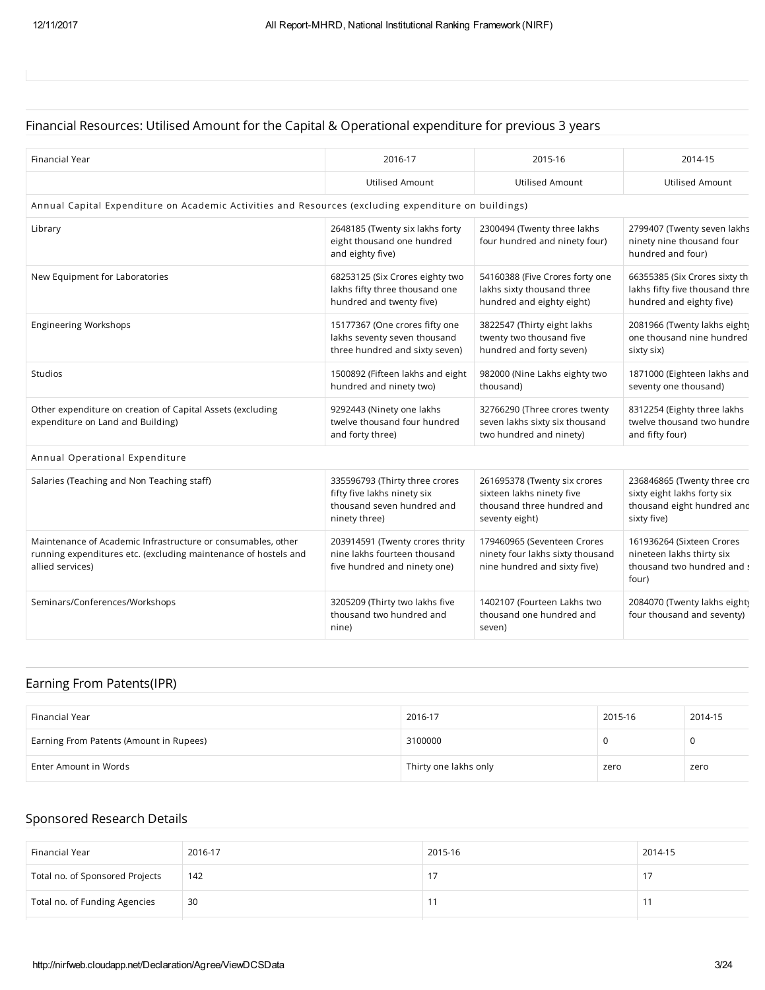## Financial Resources: Utilised Amount for the Capital & Operational expenditure for previous 3 years

| Financial Year                                                                                                                                      | 2016-17                                                                                                      | 2015-16                                                                                                   | 2014-15                                                                                                 |
|-----------------------------------------------------------------------------------------------------------------------------------------------------|--------------------------------------------------------------------------------------------------------------|-----------------------------------------------------------------------------------------------------------|---------------------------------------------------------------------------------------------------------|
|                                                                                                                                                     | <b>Utilised Amount</b>                                                                                       | Utilised Amount                                                                                           | Utilised Amount                                                                                         |
| Annual Capital Expenditure on Academic Activities and Resources (excluding expenditure on buildings)                                                |                                                                                                              |                                                                                                           |                                                                                                         |
| Library                                                                                                                                             | 2648185 (Twenty six lakhs forty<br>eight thousand one hundred<br>and eighty five)                            | 2300494 (Twenty three lakhs<br>four hundred and ninety four)                                              | 2799407 (Twenty seven lakhs<br>ninety nine thousand four<br>hundred and four)                           |
| New Equipment for Laboratories                                                                                                                      | 68253125 (Six Crores eighty two<br>lakhs fifty three thousand one<br>hundred and twenty five)                | 54160388 (Five Crores forty one<br>lakhs sixty thousand three<br>hundred and eighty eight)                | 66355385 (Six Crores sixty th<br>lakhs fifty five thousand thre<br>hundred and eighty five)             |
| <b>Engineering Workshops</b>                                                                                                                        | 15177367 (One crores fifty one<br>lakhs seventy seven thousand<br>three hundred and sixty seven)             | 3822547 (Thirty eight lakhs<br>twenty two thousand five<br>hundred and forty seven)                       | 2081966 (Twenty lakhs eight)<br>one thousand nine hundred<br>sixty six)                                 |
| Studios                                                                                                                                             | 1500892 (Fifteen lakhs and eight<br>hundred and ninety two)                                                  | 982000 (Nine Lakhs eighty two<br>thousand)                                                                | 1871000 (Eighteen lakhs and<br>seventy one thousand)                                                    |
| Other expenditure on creation of Capital Assets (excluding<br>expenditure on Land and Building)                                                     | 9292443 (Ninety one lakhs<br>twelve thousand four hundred<br>and forty three)                                | 32766290 (Three crores twenty<br>seven lakhs sixty six thousand<br>two hundred and ninety)                | 8312254 (Eighty three lakhs<br>twelve thousand two hundre<br>and fifty four)                            |
| Annual Operational Expenditure                                                                                                                      |                                                                                                              |                                                                                                           |                                                                                                         |
| Salaries (Teaching and Non Teaching staff)                                                                                                          | 335596793 (Thirty three crores<br>fifty five lakhs ninety six<br>thousand seven hundred and<br>ninety three) | 261695378 (Twenty six crores<br>sixteen lakhs ninety five<br>thousand three hundred and<br>seventy eight) | 236846865 (Twenty three cro<br>sixty eight lakhs forty six<br>thousand eight hundred and<br>sixty five) |
| Maintenance of Academic Infrastructure or consumables, other<br>running expenditures etc. (excluding maintenance of hostels and<br>allied services) | 203914591 (Twenty crores thrity<br>nine lakhs fourteen thousand<br>five hundred and ninety one)              | 179460965 (Seventeen Crores<br>ninety four lakhs sixty thousand<br>nine hundred and sixty five)           | 161936264 (Sixteen Crores<br>nineteen lakhs thirty six<br>thousand two hundred and s<br>four)           |
| Seminars/Conferences/Workshops                                                                                                                      | 3205209 (Thirty two lakhs five<br>thousand two hundred and<br>nine)                                          | 1402107 (Fourteen Lakhs two<br>thousand one hundred and<br>seven)                                         | 2084070 (Twenty lakhs eight)<br>four thousand and seventy)                                              |

## Earning From Patents(IPR)

| Financial Year                          | 2016-17               | 2015-16 | 2014-15 |
|-----------------------------------------|-----------------------|---------|---------|
| Earning From Patents (Amount in Rupees) | 3100000               | 0       |         |
| Enter Amount in Words                   | Thirty one lakhs only | zero    | zero    |

## Sponsored Research Details

| Financial Year                  | 2016-17 | 2015-16 | 2014-15 |
|---------------------------------|---------|---------|---------|
| Total no. of Sponsored Projects | 142     |         |         |
| Total no. of Funding Agencies   | 30      |         |         |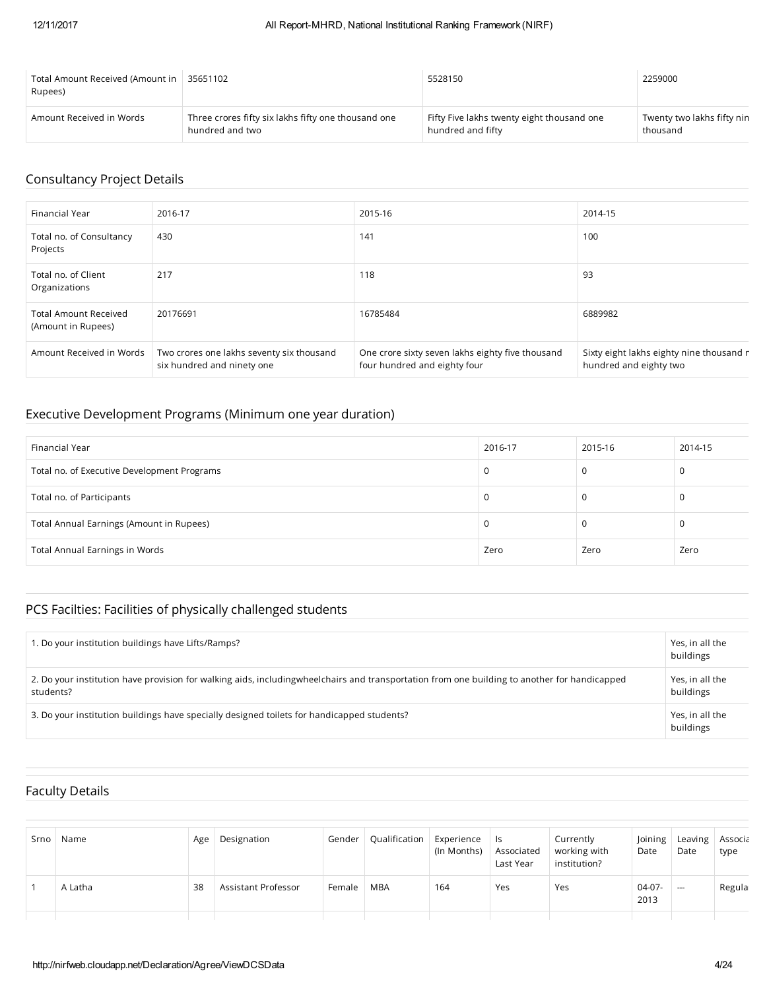| Total Amount Received (Amount in<br>Rupees) | 35651102                                            | 5528150                                    | 2259000                    |
|---------------------------------------------|-----------------------------------------------------|--------------------------------------------|----------------------------|
| Amount Received in Words                    | Three crores fifty six lakhs fifty one thousand one | Fifty Five lakhs twenty eight thousand one | Twenty two lakhs fifty nin |
|                                             | hundred and two                                     | hundred and fifty                          | thousand                   |

## Consultancy Project Details

| Financial Year                                     | 2016-17                                                                 | 2015-16                                                                          | 2014-15                                                            |
|----------------------------------------------------|-------------------------------------------------------------------------|----------------------------------------------------------------------------------|--------------------------------------------------------------------|
| Total no. of Consultancy<br>Projects               | 430                                                                     | 141                                                                              | 100                                                                |
| Total no. of Client<br>Organizations               | 217                                                                     | 118                                                                              | 93                                                                 |
| <b>Total Amount Received</b><br>(Amount in Rupees) | 20176691                                                                | 16785484                                                                         | 6889982                                                            |
| Amount Received in Words                           | Two crores one lakhs seventy six thousand<br>six hundred and ninety one | One crore sixty seven lakhs eighty five thousand<br>four hundred and eighty four | Sixty eight lakhs eighty nine thousand r<br>hundred and eighty two |

## Executive Development Programs (Minimum one year duration)

| Financial Year                              | 2016-17 | 2015-16 | 2014-15  |
|---------------------------------------------|---------|---------|----------|
| Total no. of Executive Development Programs | 0       |         | 0        |
| Total no. of Participants                   |         |         | $\Omega$ |
| Total Annual Earnings (Amount in Rupees)    | U       |         | 0        |
| Total Annual Earnings in Words              | Zero    | Zero    | Zero     |

## PCS Facilties: Facilities of physically challenged students

| . Do your institution buildings have Lifts/Ramps?                                                                                                           | Yes, in all the<br>buildings |
|-------------------------------------------------------------------------------------------------------------------------------------------------------------|------------------------------|
| 2. Do your institution have provision for walking aids, including wheel chairs and transportation from one building to another for handicapped<br>students? | Yes, in all the<br>buildings |
| 3. Do your institution buildings have specially designed toilets for handicapped students?                                                                  | Yes, in all the<br>buildings |

## Faculty Details

| Srno | Name    | Age | Designation         | Gender | Qualification | Experience<br>(In Months) | ls.<br>Associated<br>Last Year | Currently<br>working with<br>institution? | Joining<br>Date  | Leaving   Associa<br>Date | type   |
|------|---------|-----|---------------------|--------|---------------|---------------------------|--------------------------------|-------------------------------------------|------------------|---------------------------|--------|
|      | A Latha | 38  | Assistant Professor | Female | <b>MBA</b>    | 164                       | Yes                            | Yes                                       | $04-07-$<br>2013 | $\hspace{0.05cm} \cdots$  | Regula |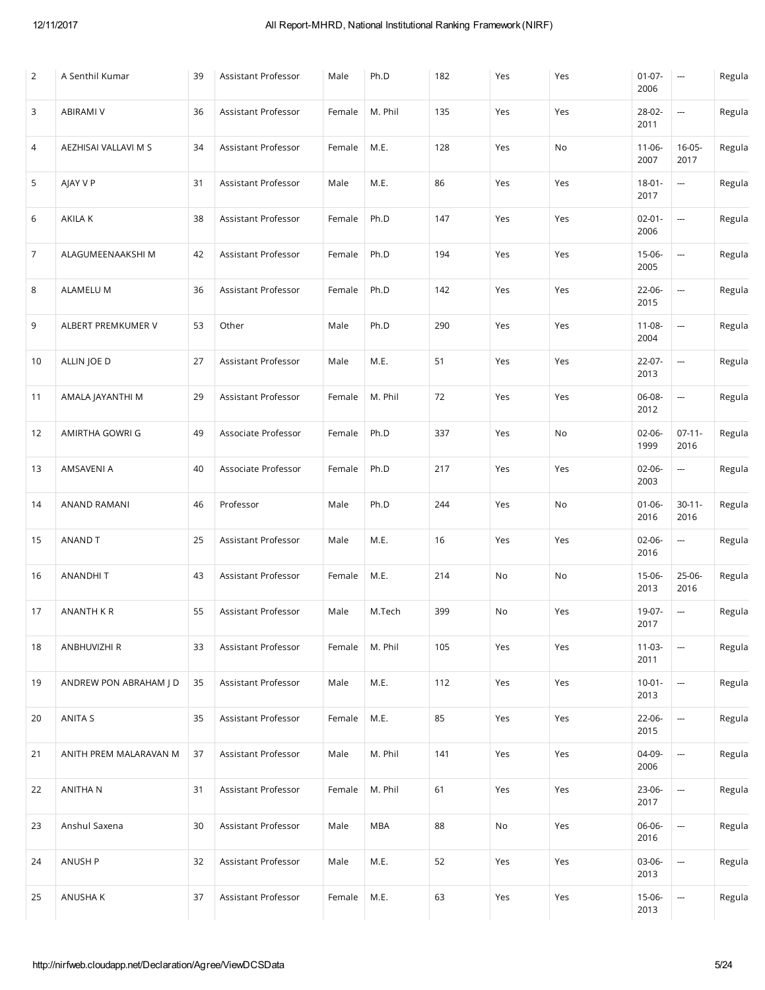| $\overline{2}$ | A Senthil Kumar        | 39 | Assistant Professor | Male   | Ph.D       | 182 | Yes | Yes | $01-07-$<br>2006    | $\overline{\phantom{a}}$ | Regula |
|----------------|------------------------|----|---------------------|--------|------------|-----|-----|-----|---------------------|--------------------------|--------|
| 3              | <b>ABIRAMI V</b>       | 36 | Assistant Professor | Female | M. Phil    | 135 | Yes | Yes | 28-02-<br>2011      | ---                      | Regula |
| 4              | AEZHISAI VALLAVI M S   | 34 | Assistant Professor | Female | M.E.       | 128 | Yes | No  | $11 - 06 -$<br>2007 | $16-05-$<br>2017         | Regula |
| 5              | AJAY V P               | 31 | Assistant Professor | Male   | M.E.       | 86  | Yes | Yes | $18 - 01 -$<br>2017 | ---                      | Regula |
| 6              | AKILA K                | 38 | Assistant Professor | Female | Ph.D       | 147 | Yes | Yes | $02 - 01 -$<br>2006 |                          | Regula |
| 7              | ALAGUMEENAAKSHI M      | 42 | Assistant Professor | Female | Ph.D       | 194 | Yes | Yes | 15-06-<br>2005      | ---                      | Regula |
| 8              | <b>ALAMELU M</b>       | 36 | Assistant Professor | Female | Ph.D       | 142 | Yes | Yes | 22-06-<br>2015      |                          | Regula |
| 9              | ALBERT PREMKUMER V     | 53 | Other               | Male   | Ph.D       | 290 | Yes | Yes | $11 - 08 -$<br>2004 | ---                      | Regula |
| 10             | ALLIN JOE D            | 27 | Assistant Professor | Male   | M.E.       | 51  | Yes | Yes | 22-07-<br>2013      | ---                      | Regula |
| 11             | AMALA JAYANTHI M       | 29 | Assistant Professor | Female | M. Phil    | 72  | Yes | Yes | 06-08-<br>2012      | ---                      | Regula |
| 12             | AMIRTHA GOWRI G        | 49 | Associate Professor | Female | Ph.D       | 337 | Yes | No  | $02 - 06 -$<br>1999 | $07-11-$<br>2016         | Regula |
| 13             | AMSAVENI A             | 40 | Associate Professor | Female | Ph.D       | 217 | Yes | Yes | $02 - 06 -$<br>2003 | ---                      | Regula |
| 14             | ANAND RAMANI           | 46 | Professor           | Male   | Ph.D       | 244 | Yes | No  | $01 - 06 -$<br>2016 | $30 - 11 -$<br>2016      | Regula |
| 15             | ANAND T                | 25 | Assistant Professor | Male   | M.E.       | 16  | Yes | Yes | $02 - 06 -$<br>2016 | ---                      | Regula |
| 16             | <b>ANANDHIT</b>        | 43 | Assistant Professor | Female | M.E.       | 214 | No  | No  | 15-06-<br>2013      | 25-06-<br>2016           | Regula |
| 17             | ANANTH K R             | 55 | Assistant Professor | Male   | M.Tech     | 399 | No  | Yes | 19-07-<br>2017      | $\overline{\phantom{a}}$ | Regula |
| 18             | ANBHUVIZHI R           | 33 | Assistant Professor | Female | M. Phil    | 105 | Yes | Yes | $11-03-$<br>2011    | --                       | Regula |
| 19             | ANDREW PON ABRAHAM J D | 35 | Assistant Professor | Male   | M.E.       | 112 | Yes | Yes | $10 - 01 -$<br>2013 | --                       | Regula |
| 20             | ANITA S                | 35 | Assistant Professor | Female | M.E.       | 85  | Yes | Yes | 22-06-<br>2015      | --                       | Regula |
| 21             | ANITH PREM MALARAVAN M | 37 | Assistant Professor | Male   | M. Phil    | 141 | Yes | Yes | 04-09-<br>2006      | ---                      | Regula |
| 22             | ANITHA N               | 31 | Assistant Professor | Female | M. Phil    | 61  | Yes | Yes | 23-06-<br>2017      | ---                      | Regula |
| 23             | Anshul Saxena          | 30 | Assistant Professor | Male   | <b>MBA</b> | 88  | No  | Yes | 06-06-<br>2016      | ---                      | Regula |
| 24             | ANUSH P                | 32 | Assistant Professor | Male   | M.E.       | 52  | Yes | Yes | 03-06-<br>2013      | --                       | Regula |
| 25             | ANUSHA K               | 37 | Assistant Professor | Female | M.E.       | 63  | Yes | Yes | 15-06-<br>2013      | --                       | Regula |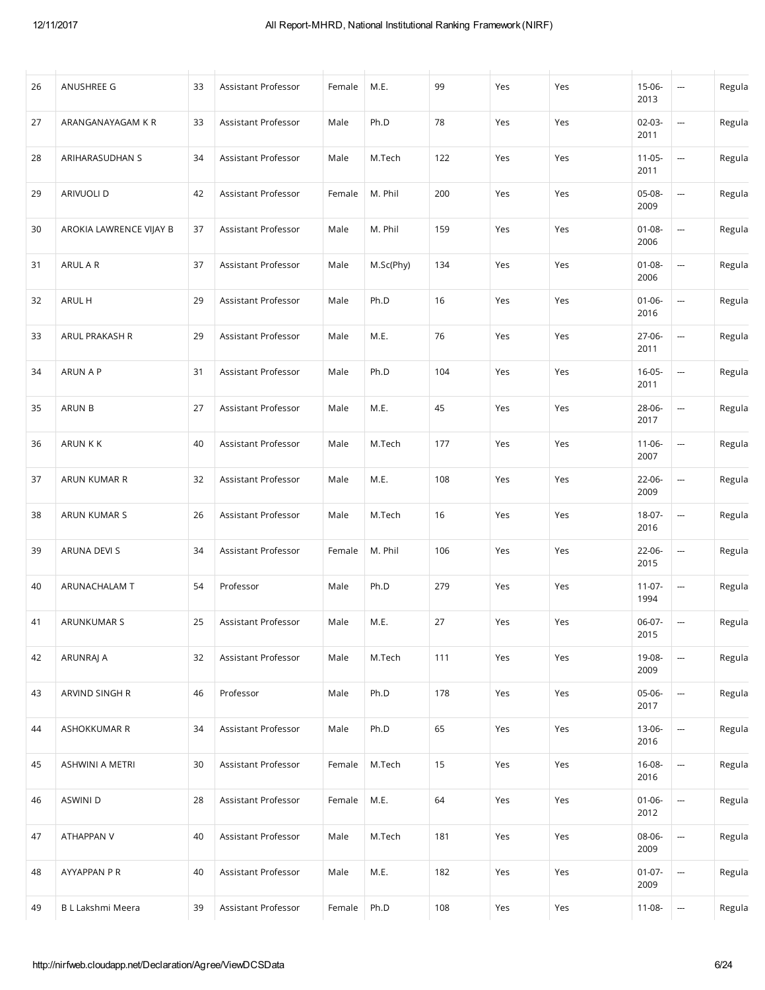| 26 | ANUSHREE G              | 33 | Assistant Professor | Female | M.E.      | 99  | Yes | Yes | 15-06-<br>2013      | ---                      | Regula |
|----|-------------------------|----|---------------------|--------|-----------|-----|-----|-----|---------------------|--------------------------|--------|
| 27 | ARANGANAYAGAM K R       | 33 | Assistant Professor | Male   | Ph.D      | 78  | Yes | Yes | $02-03-$<br>2011    | ---                      | Regula |
| 28 | ARIHARASUDHAN S         | 34 | Assistant Professor | Male   | M.Tech    | 122 | Yes | Yes | $11 - 05 -$<br>2011 | ---                      | Regula |
| 29 | ARIVUOLI D              | 42 | Assistant Professor | Female | M. Phil   | 200 | Yes | Yes | 05-08-<br>2009      | ---                      | Regula |
| 30 | AROKIA LAWRENCE VIJAY B | 37 | Assistant Professor | Male   | M. Phil   | 159 | Yes | Yes | $01 - 08 -$<br>2006 | ---                      | Regula |
| 31 | ARUL A R                | 37 | Assistant Professor | Male   | M.Sc(Phy) | 134 | Yes | Yes | $01 - 08 -$<br>2006 | ---                      | Regula |
| 32 | ARUL H                  | 29 | Assistant Professor | Male   | Ph.D      | 16  | Yes | Yes | $01 - 06 -$<br>2016 | $\overline{a}$           | Regula |
| 33 | ARUL PRAKASH R          | 29 | Assistant Professor | Male   | M.E.      | 76  | Yes | Yes | 27-06-<br>2011      | ---                      | Regula |
| 34 | ARUN A P                | 31 | Assistant Professor | Male   | Ph.D      | 104 | Yes | Yes | $16 - 05 -$<br>2011 | $\overline{a}$           | Regula |
| 35 | ARUN B                  | 27 | Assistant Professor | Male   | M.E.      | 45  | Yes | Yes | 28-06-<br>2017      | ---                      | Regula |
| 36 | ARUN K K                | 40 | Assistant Professor | Male   | M.Tech    | 177 | Yes | Yes | $11 - 06 -$<br>2007 | ---                      | Regula |
| 37 | ARUN KUMAR R            | 32 | Assistant Professor | Male   | M.E.      | 108 | Yes | Yes | 22-06-<br>2009      | ---                      | Regula |
| 38 | ARUN KUMAR S            | 26 | Assistant Professor | Male   | M.Tech    | 16  | Yes | Yes | 18-07-<br>2016      | --                       | Regula |
| 39 | ARUNA DEVI S            | 34 | Assistant Professor | Female | M. Phil   | 106 | Yes | Yes | 22-06-<br>2015      | --                       | Regula |
| 40 | ARUNACHALAM T           | 54 | Professor           | Male   | Ph.D      | 279 | Yes | Yes | $11-07-$<br>1994    | $\overline{a}$           | Regula |
| 41 | ARUNKUMAR S             | 25 | Assistant Professor | Male   | M.E.      | 27  | Yes | Yes | 06-07-<br>2015      | $\sim$                   | Regula |
| 42 | ARUNRAJ A               | 32 | Assistant Professor | Male   | M.Tech    | 111 | Yes | Yes | 19-08-<br>2009      | ---                      | Regula |
| 43 | ARVIND SINGH R          | 46 | Professor           | Male   | Ph.D      | 178 | Yes | Yes | 05-06-<br>2017      | --                       | Regula |
| 44 | ASHOKKUMAR R            | 34 | Assistant Professor | Male   | Ph.D      | 65  | Yes | Yes | 13-06-<br>2016      | $\overline{a}$           | Regula |
| 45 | <b>ASHWINI A METRI</b>  | 30 | Assistant Professor | Female | M.Tech    | 15  | Yes | Yes | 16-08-<br>2016      | --                       | Regula |
| 46 | ASWINI D                | 28 | Assistant Professor | Female | M.E.      | 64  | Yes | Yes | $01-06-$<br>2012    | --                       | Regula |
| 47 | ATHAPPAN V              | 40 | Assistant Professor | Male   | M.Tech    | 181 | Yes | Yes | 08-06-<br>2009      | --                       | Regula |
| 48 | AYYAPPAN P R            | 40 | Assistant Professor | Male   | M.E.      | 182 | Yes | Yes | $01-07-$<br>2009    | $\overline{a}$           | Regula |
| 49 | B L Lakshmi Meera       | 39 | Assistant Professor | Female | Ph.D      | 108 | Yes | Yes | 11-08-              | $\overline{\phantom{a}}$ | Regula |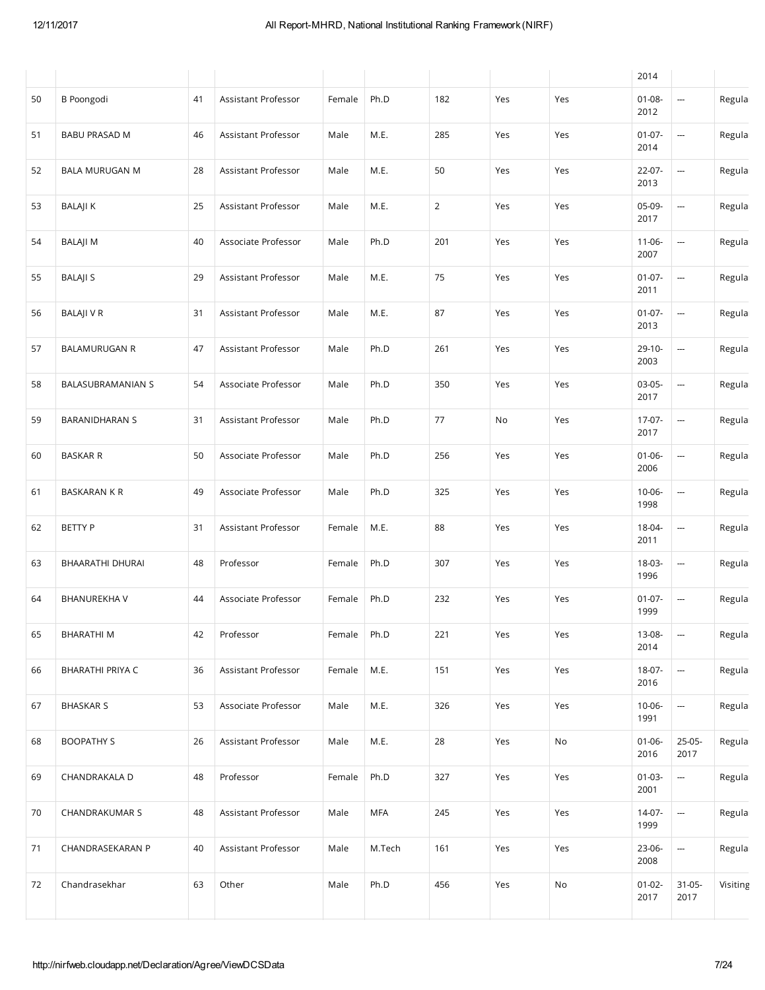|    |                         |    |                     |        |            |                |     |                              | 2014                |                          |          |
|----|-------------------------|----|---------------------|--------|------------|----------------|-----|------------------------------|---------------------|--------------------------|----------|
| 50 | <b>B</b> Poongodi       | 41 | Assistant Professor | Female | Ph.D       | 182            | Yes | Yes                          | $01 - 08 -$<br>2012 | ---                      | Regula   |
| 51 | <b>BABU PRASAD M</b>    | 46 | Assistant Professor | Male   | M.E.       | 285            | Yes | Yes                          | $01-07-$<br>2014    |                          | Regula   |
| 52 | <b>BALA MURUGAN M</b>   | 28 | Assistant Professor | Male   | M.E.       | 50             | Yes | Yes                          | 22-07-<br>2013      | ---                      | Regula   |
| 53 | <b>BALAJIK</b>          | 25 | Assistant Professor | Male   | M.E.       | $\overline{2}$ | Yes | Yes                          | 05-09-<br>2017      | ---                      | Regula   |
| 54 | <b>BALAJIM</b>          | 40 | Associate Professor | Male   | Ph.D       | 201            | Yes | Yes                          | $11-06-$<br>2007    | ---                      | Regula   |
| 55 | <b>BALAJI S</b>         | 29 | Assistant Professor | Male   | M.E.       | 75             | Yes | Yes                          | $01-07-$<br>2011    | $\overline{\phantom{a}}$ | Regula   |
| 56 | <b>BALAJI V R</b>       | 31 | Assistant Professor | Male   | M.E.       | 87             | Yes | Yes                          | $01-07-$<br>2013    | $\frac{1}{2}$            | Regula   |
| 57 | <b>BALAMURUGAN R</b>    | 47 | Assistant Professor | Male   | Ph.D       | 261            | Yes | Yes                          | $29-10-$<br>2003    | ---                      | Regula   |
| 58 | BALASUBRAMANIAN S       | 54 | Associate Professor | Male   | Ph.D       | 350            | Yes | Yes                          | 03-05-<br>2017      | ---                      | Regula   |
| 59 | <b>BARANIDHARAN S</b>   | 31 | Assistant Professor | Male   | Ph.D       | 77             | No  | Yes                          | $17-07-$<br>2017    | ---                      | Regula   |
| 60 | <b>BASKAR R</b>         | 50 | Associate Professor | Male   | Ph.D       | 256            | Yes | Yes                          | $01 - 06 -$<br>2006 | $\frac{1}{2}$            | Regula   |
| 61 | <b>BASKARAN K R</b>     | 49 | Associate Professor | Male   | Ph.D       | 325            | Yes | Yes                          | 10-06-<br>1998      | ---                      | Regula   |
| 62 | <b>BETTY P</b>          | 31 | Assistant Professor | Female | M.E.       | 88             | Yes | Yes                          | 18-04-<br>2011      | ---                      | Regula   |
| 63 | BHAARATHI DHURAI        | 48 | Professor           | Female | Ph.D       | 307            | Yes | Yes                          | 18-03-<br>1996      | ---                      | Regula   |
| 64 | <b>BHANUREKHA V</b>     | 44 | Associate Professor | Female | Ph.D       | 232            | Yes | Yes                          | $01-07-$<br>1999    | ---                      | Regula   |
| 65 | BHARATHI M              | 42 | Professor           | Female | Ph.D       | 221            | Yes | Yes                          | 13-08-<br>2014      | --                       | Regula   |
| 66 | <b>BHARATHI PRIYA C</b> | 36 | Assistant Professor | Female | M.E.       | 151            | Yes | Yes                          | 18-07-<br>2016      | --                       | Regula   |
| 67 | <b>BHASKAR S</b>        | 53 | Associate Professor | Male   | M.E.       | 326            | Yes | Yes                          | $10 - 06 -$<br>1991 |                          | Regula   |
| 68 | <b>BOOPATHY S</b>       | 26 | Assistant Professor | Male   | M.E.       | 28             | Yes | $\operatorname{\mathsf{No}}$ | $01 - 06 -$<br>2016 | 25-05-<br>2017           | Regula   |
| 69 | CHANDRAKALA D           | 48 | Professor           | Female | Ph.D       | 327            | Yes | Yes                          | $01 - 03 -$<br>2001 | --                       | Regula   |
| 70 | CHANDRAKUMAR S          | 48 | Assistant Professor | Male   | <b>MFA</b> | 245            | Yes | Yes                          | $14-07-$<br>1999    | --                       | Regula   |
| 71 | CHANDRASEKARAN P        | 40 | Assistant Professor | Male   | M.Tech     | 161            | Yes | Yes                          | 23-06-<br>2008      |                          | Regula   |
| 72 | Chandrasekhar           | 63 | Other               | Male   | Ph.D       | 456            | Yes | No                           | $01 - 02 -$<br>2017 | $31-05-$<br>2017         | Visiting |
|    |                         |    |                     |        |            |                |     |                              |                     |                          |          |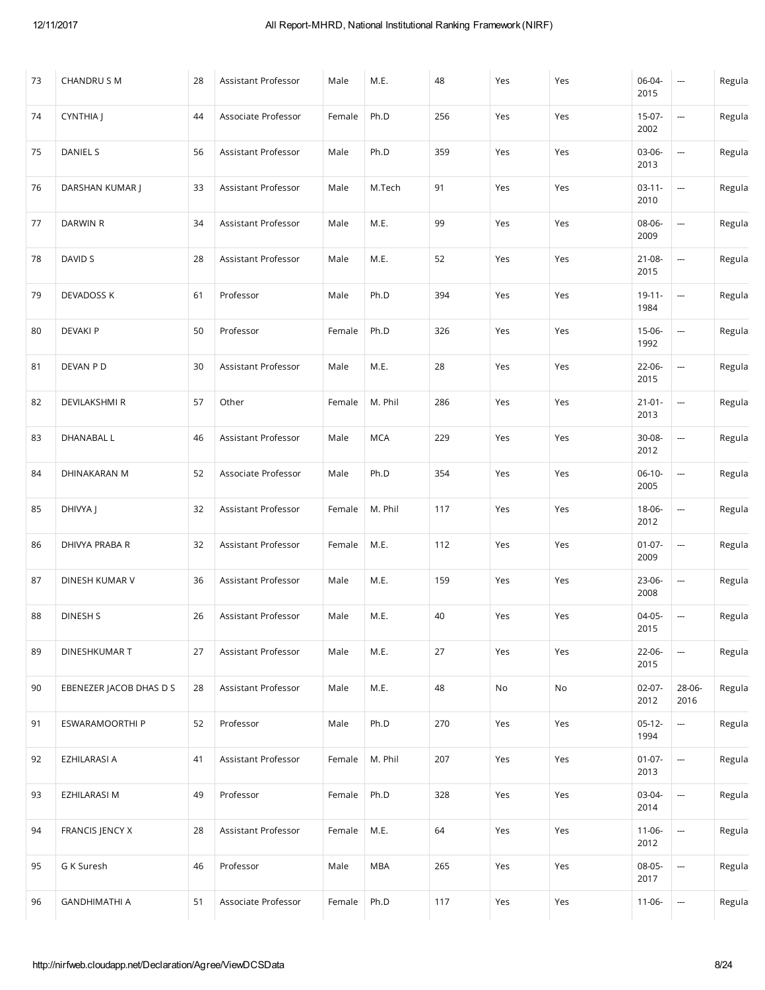| 73 | <b>CHANDRUS M</b>       | 28 | Assistant Professor | Male   | M.E.       | 48  | Yes | Yes | 06-04-<br>2015      | $\cdots$                 | Regula |
|----|-------------------------|----|---------------------|--------|------------|-----|-----|-----|---------------------|--------------------------|--------|
| 74 | CYNTHIA J               | 44 | Associate Professor | Female | Ph.D       | 256 | Yes | Yes | $15-07-$<br>2002    | ---                      | Regula |
| 75 | DANIEL S                | 56 | Assistant Professor | Male   | Ph.D       | 359 | Yes | Yes | 03-06-<br>2013      | ---                      | Regula |
| 76 | DARSHAN KUMAR J         | 33 | Assistant Professor | Male   | M.Tech     | 91  | Yes | Yes | $03-11-$<br>2010    | ---                      | Regula |
| 77 | DARWIN R                | 34 | Assistant Professor | Male   | M.E.       | 99  | Yes | Yes | 08-06-<br>2009      | ---                      | Regula |
| 78 | DAVID S                 | 28 | Assistant Professor | Male   | M.E.       | 52  | Yes | Yes | 21-08-<br>2015      | ---                      | Regula |
| 79 | DEVADOSS K              | 61 | Professor           | Male   | Ph.D       | 394 | Yes | Yes | $19 - 11 -$<br>1984 | ---                      | Regula |
| 80 | <b>DEVAKI P</b>         | 50 | Professor           | Female | Ph.D       | 326 | Yes | Yes | 15-06-<br>1992      |                          | Regula |
| 81 | DEVAN P D               | 30 | Assistant Professor | Male   | M.E.       | 28  | Yes | Yes | 22-06-<br>2015      | --                       | Regula |
| 82 | <b>DEVILAKSHMI R</b>    | 57 | Other               | Female | M. Phil    | 286 | Yes | Yes | $21 - 01 -$<br>2013 | ---                      | Regula |
| 83 | DHANABAL L              | 46 | Assistant Professor | Male   | <b>MCA</b> | 229 | Yes | Yes | 30-08-<br>2012      | ---                      | Regula |
| 84 | DHINAKARAN M            | 52 | Associate Professor | Male   | Ph.D       | 354 | Yes | Yes | $06-10-$<br>2005    | ---                      | Regula |
| 85 | DHIVYA J                | 32 | Assistant Professor | Female | M. Phil    | 117 | Yes | Yes | 18-06-<br>2012      | ---                      | Regula |
| 86 | DHIVYA PRABA R          | 32 | Assistant Professor | Female | M.E.       | 112 | Yes | Yes | $01-07-$<br>2009    | ---                      | Regula |
| 87 | DINESH KUMAR V          | 36 | Assistant Professor | Male   | M.E.       | 159 | Yes | Yes | 23-06-<br>2008      | ---                      | Regula |
| 88 | DINESH S                | 26 | Assistant Professor | Male   | M.E.       | 40  | Yes | Yes | $04-05-$<br>2015    | $\overline{\phantom{a}}$ | Regula |
| 89 | DINESHKUMAR T           | 27 | Assistant Professor | Male   | M.E.       | 27  | Yes | Yes | 22-06-<br>2015      | ---                      | Regula |
| 90 | EBENEZER JACOB DHAS D S | 28 | Assistant Professor | Male   | M.E.       | 48  | No  | No  | $02-07-$<br>2012    | 28-06-<br>2016           | Regula |
| 91 | ESWARAMOORTHI P         | 52 | Professor           | Male   | Ph.D       | 270 | Yes | Yes | $05-12-$<br>1994    | ---                      | Regula |
| 92 | EZHILARASI A            | 41 | Assistant Professor | Female | M. Phil    | 207 | Yes | Yes | $01 - 07 -$<br>2013 | $\overline{\phantom{a}}$ | Regula |
| 93 | EZHILARASI M            | 49 | Professor           | Female | Ph.D       | 328 | Yes | Yes | 03-04-<br>2014      | $\overline{\phantom{a}}$ | Regula |
| 94 | FRANCIS JENCY X         | 28 | Assistant Professor | Female | M.E.       | 64  | Yes | Yes | $11-06-$<br>2012    | $\overline{\phantom{a}}$ | Regula |
| 95 | G K Suresh              | 46 | Professor           | Male   | <b>MBA</b> | 265 | Yes | Yes | 08-05-<br>2017      | --                       | Regula |
| 96 | <b>GANDHIMATHI A</b>    | 51 | Associate Professor | Female | Ph.D       | 117 | Yes | Yes | $11-06-$            | --                       | Regula |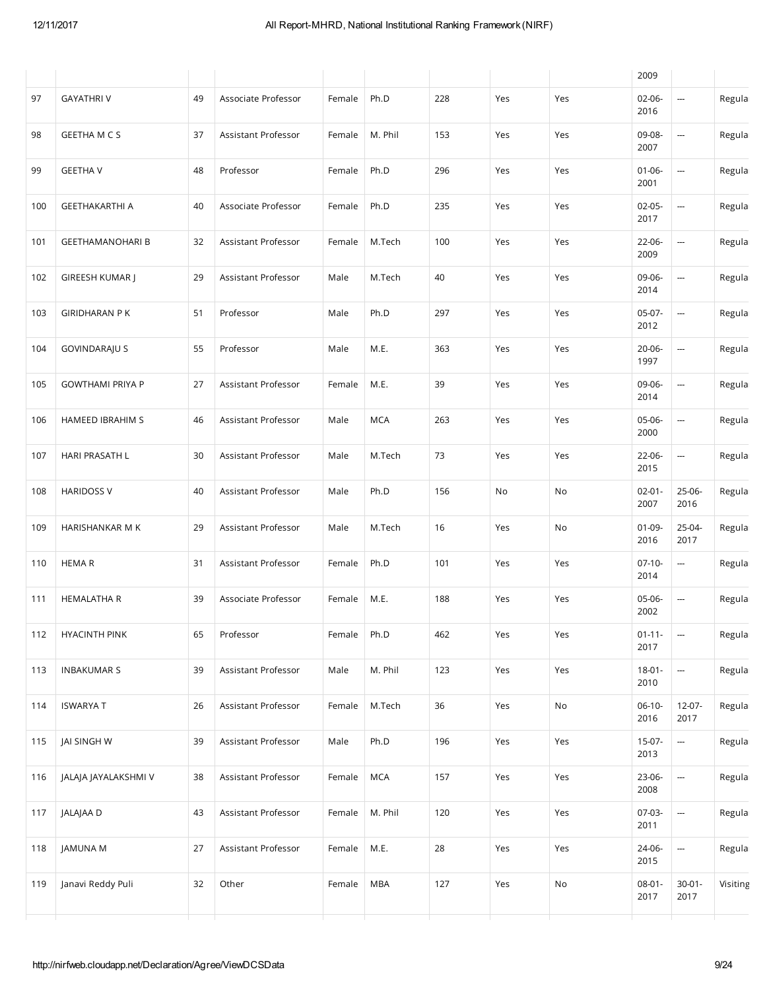|     |                         |    |                     |        |            |     |     |                              | 2009                |                          |          |
|-----|-------------------------|----|---------------------|--------|------------|-----|-----|------------------------------|---------------------|--------------------------|----------|
| 97  | <b>GAYATHRIV</b>        | 49 | Associate Professor | Female | Ph.D       | 228 | Yes | Yes                          | $02 - 06 -$<br>2016 | ---                      | Regula   |
| 98  | <b>GEETHA M C S</b>     | 37 | Assistant Professor | Female | M. Phil    | 153 | Yes | Yes                          | 09-08-<br>2007      | ---                      | Regula   |
| 99  | <b>GEETHA V</b>         | 48 | Professor           | Female | Ph.D       | 296 | Yes | Yes                          | $01 - 06 -$<br>2001 | ---                      | Regula   |
| 100 | <b>GEETHAKARTHI A</b>   | 40 | Associate Professor | Female | Ph.D       | 235 | Yes | Yes                          | $02-05-$<br>2017    | ---                      | Regula   |
| 101 | <b>GEETHAMANOHARI B</b> | 32 | Assistant Professor | Female | M.Tech     | 100 | Yes | Yes                          | 22-06-<br>2009      | ---                      | Regula   |
| 102 | GIREESH KUMAR J         | 29 | Assistant Professor | Male   | M.Tech     | 40  | Yes | Yes                          | 09-06-<br>2014      | ---                      | Regula   |
| 103 | <b>GIRIDHARAN PK</b>    | 51 | Professor           | Male   | Ph.D       | 297 | Yes | Yes                          | 05-07-<br>2012      | $\frac{1}{2}$            | Regula   |
| 104 | <b>GOVINDARAJU S</b>    | 55 | Professor           | Male   | M.E.       | 363 | Yes | Yes                          | 20-06-<br>1997      | ---                      | Regula   |
| 105 | <b>GOWTHAMI PRIYA P</b> | 27 | Assistant Professor | Female | M.E.       | 39  | Yes | Yes                          | 09-06-<br>2014      | ---                      | Regula   |
| 106 | HAMEED IBRAHIM S        | 46 | Assistant Professor | Male   | <b>MCA</b> | 263 | Yes | Yes                          | 05-06-<br>2000      | ---                      | Regula   |
| 107 | HARI PRASATH L          | 30 | Assistant Professor | Male   | M.Tech     | 73  | Yes | Yes                          | 22-06-<br>2015      | ---                      | Regula   |
| 108 | <b>HARIDOSS V</b>       | 40 | Assistant Professor | Male   | Ph.D       | 156 | No  | No                           | $02 - 01 -$<br>2007 | 25-06-<br>2016           | Regula   |
| 109 | HARISHANKAR M K         | 29 | Assistant Professor | Male   | M.Tech     | 16  | Yes | No                           | $01-09-$<br>2016    | 25-04-<br>2017           | Regula   |
| 110 | <b>HEMAR</b>            | 31 | Assistant Professor | Female | Ph.D       | 101 | Yes | Yes                          | $07-10-$<br>2014    | $\overline{\phantom{a}}$ | Regula   |
| 111 | <b>HEMALATHA R</b>      | 39 | Associate Professor | Female | M.E.       | 188 | Yes | Yes                          | 05-06-<br>2002      | --                       | Regula   |
| 112 | <b>HYACINTH PINK</b>    | 65 | Professor           | Female | Ph.D       | 462 | Yes | Yes                          | $01 - 11 -$<br>2017 | --                       | Regula   |
| 113 | <b>INBAKUMAR S</b>      | 39 | Assistant Professor | Male   | M. Phil    | 123 | Yes | Yes                          | $18 - 01 -$<br>2010 | ---                      | Regula   |
| 114 | <b>ISWARYA T</b>        | 26 | Assistant Professor | Female | M.Tech     | 36  | Yes | $\operatorname{\mathsf{No}}$ | $06-10-$<br>2016    | $12-07-$<br>2017         | Regula   |
| 115 | JAI SINGH W             | 39 | Assistant Professor | Male   | Ph.D       | 196 | Yes | Yes                          | 15-07-<br>2013      | $\overline{\phantom{a}}$ | Regula   |
| 116 | JALAJA JAYALAKSHMI V    | 38 | Assistant Professor | Female | <b>MCA</b> | 157 | Yes | Yes                          | 23-06-<br>2008      | ---                      | Regula   |
| 117 | JALAJAA D               | 43 | Assistant Professor | Female | M. Phil    | 120 | Yes | Yes                          | 07-03-<br>2011      | --                       | Regula   |
| 118 | JAMUNA M                | 27 | Assistant Professor | Female | M.E.       | 28  | Yes | Yes                          | 24-06-<br>2015      | --                       | Regula   |
| 119 | Janavi Reddy Puli       | 32 | Other               | Female | <b>MBA</b> | 127 | Yes | No                           | $08 - 01 -$<br>2017 | $30 - 01 -$<br>2017      | Visiting |
|     |                         |    |                     |        |            |     |     |                              |                     |                          |          |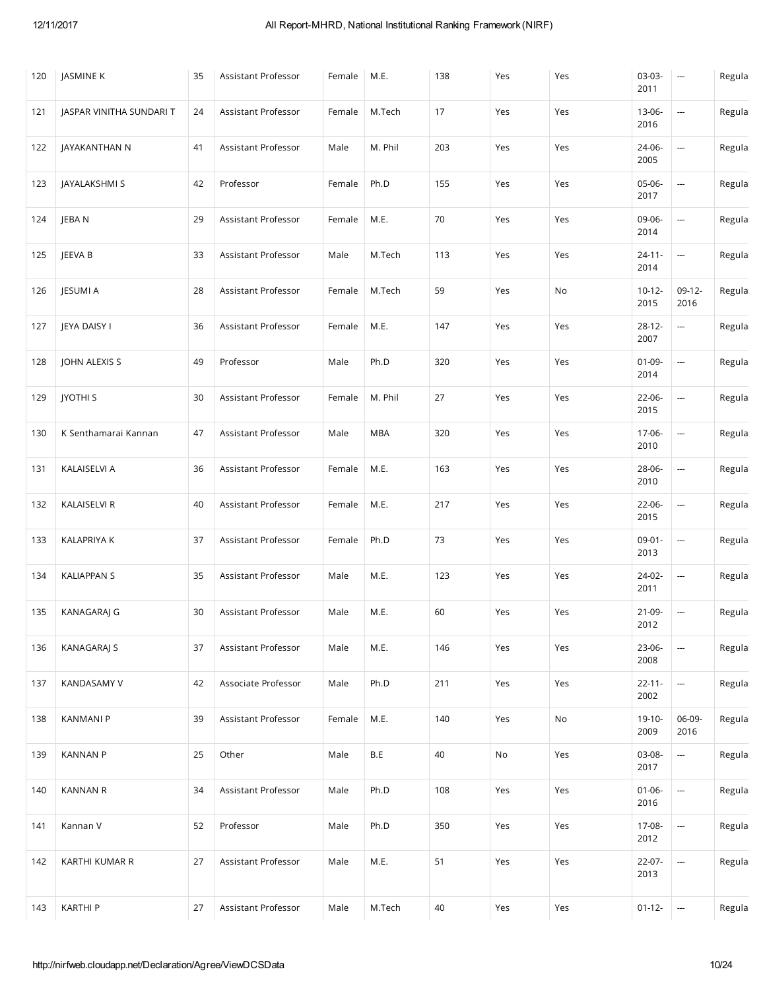| 120 | JASMINE K                | 35 | Assistant Professor | Female | M.E.       | 138 | Yes | Yes | 03-03-<br>2011      | ---                      | Regula |
|-----|--------------------------|----|---------------------|--------|------------|-----|-----|-----|---------------------|--------------------------|--------|
| 121 | JASPAR VINITHA SUNDARI T | 24 | Assistant Professor | Female | M.Tech     | 17  | Yes | Yes | 13-06-<br>2016      | --                       | Regula |
| 122 | JAYAKANTHAN N            | 41 | Assistant Professor | Male   | M. Phil    | 203 | Yes | Yes | 24-06-<br>2005      | ---                      | Regula |
| 123 | JAYALAKSHMI S            | 42 | Professor           | Female | Ph.D       | 155 | Yes | Yes | 05-06-<br>2017      | $\hspace{0.05cm} \cdots$ | Regula |
| 124 | JEBA N                   | 29 | Assistant Professor | Female | M.E.       | 70  | Yes | Yes | 09-06-<br>2014      | --                       | Regula |
| 125 | JEEVA B                  | 33 | Assistant Professor | Male   | M.Tech     | 113 | Yes | Yes | $24 - 11 -$<br>2014 | ---                      | Regula |
| 126 | JESUMI A                 | 28 | Assistant Professor | Female | M.Tech     | 59  | Yes | No  | $10 - 12 -$<br>2015 | $09-12-$<br>2016         | Regula |
| 127 | JEYA DAISY I             | 36 | Assistant Professor | Female | M.E.       | 147 | Yes | Yes | $28 - 12 -$<br>2007 | ---                      | Regula |
| 128 | JOHN ALEXIS S            | 49 | Professor           | Male   | Ph.D       | 320 | Yes | Yes | $01-09-$<br>2014    | --                       | Regula |
| 129 | <b>JYOTHI S</b>          | 30 | Assistant Professor | Female | M. Phil    | 27  | Yes | Yes | 22-06-<br>2015      | --                       | Regula |
| 130 | K Senthamarai Kannan     | 47 | Assistant Professor | Male   | <b>MBA</b> | 320 | Yes | Yes | 17-06-<br>2010      | --                       | Regula |
| 131 | KALAISELVI A             | 36 | Assistant Professor | Female | M.E.       | 163 | Yes | Yes | 28-06-<br>2010      | ---                      | Regula |
| 132 | KALAISELVI R             | 40 | Assistant Professor | Female | M.E.       | 217 | Yes | Yes | 22-06-<br>2015      | --                       | Regula |
| 133 | KALAPRIYA K              | 37 | Assistant Professor | Female | Ph.D       | 73  | Yes | Yes | $09 - 01 -$<br>2013 | --                       | Regula |
| 134 | <b>KALIAPPAN S</b>       | 35 | Assistant Professor | Male   | M.E.       | 123 | Yes | Yes | 24-02-<br>2011      | ---                      | Regula |
| 135 | KANAGARAJ G              | 30 | Assistant Professor | Male   | M.E.       | 60  | Yes | Yes | 21-09-<br>2012      | ---                      | Regula |
| 136 | <b>KANAGARAJ S</b>       | 37 | Assistant Professor | Male   | M.E.       | 146 | Yes | Yes | 23-06-<br>2008      | --                       | Regula |
| 137 | KANDASAMY V              | 42 | Associate Professor | Male   | Ph.D       | 211 | Yes | Yes | $22 - 11 -$<br>2002 | $\overline{\phantom{a}}$ | Regula |
| 138 | <b>KANMANI P</b>         | 39 | Assistant Professor | Female | M.E.       | 140 | Yes | No  | $19-10-$<br>2009    | 06-09-<br>2016           | Regula |
| 139 | <b>KANNAN P</b>          | 25 | Other               | Male   | B.E        | 40  | No  | Yes | 03-08-<br>2017      | ---                      | Regula |
| 140 | <b>KANNAN R</b>          | 34 | Assistant Professor | Male   | Ph.D       | 108 | Yes | Yes | $01 - 06 -$<br>2016 | --                       | Regula |
| 141 | Kannan V                 | 52 | Professor           | Male   | Ph.D       | 350 | Yes | Yes | 17-08-<br>2012      | --                       | Regula |
| 142 | KARTHI KUMAR R           | 27 | Assistant Professor | Male   | M.E.       | 51  | Yes | Yes | 22-07-<br>2013      | --                       | Regula |
| 143 | <b>KARTHI P</b>          | 27 | Assistant Professor | Male   | M.Tech     | 40  | Yes | Yes | $01-12-$            | $\overline{\phantom{a}}$ | Regula |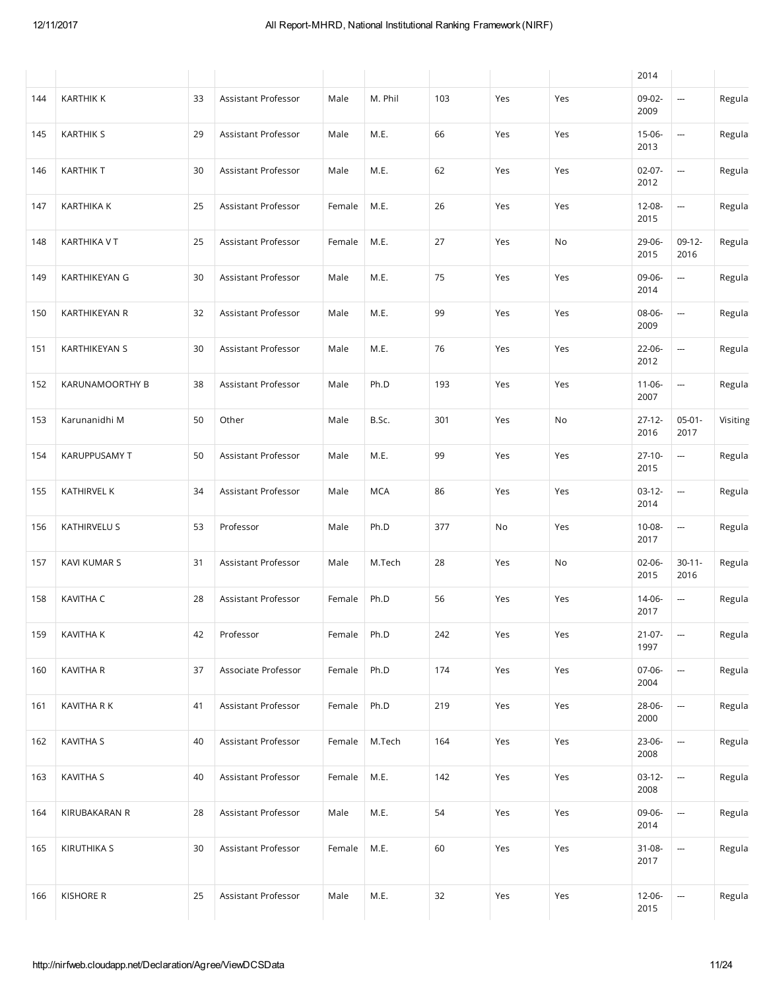|     |                      |    |                     |        |            |     |     |     | 2014                |                          |          |
|-----|----------------------|----|---------------------|--------|------------|-----|-----|-----|---------------------|--------------------------|----------|
| 144 | <b>KARTHIK K</b>     | 33 | Assistant Professor | Male   | M. Phil    | 103 | Yes | Yes | 09-02-<br>2009      | ---                      | Regula   |
| 145 | <b>KARTHIK S</b>     | 29 | Assistant Professor | Male   | M.E.       | 66  | Yes | Yes | 15-06-<br>2013      | $\frac{1}{2}$            | Regula   |
| 146 | <b>KARTHIK T</b>     | 30 | Assistant Professor | Male   | M.E.       | 62  | Yes | Yes | $02-07-$<br>2012    | ---                      | Regula   |
| 147 | <b>KARTHIKA K</b>    | 25 | Assistant Professor | Female | M.E.       | 26  | Yes | Yes | 12-08-<br>2015      | ---                      | Regula   |
| 148 | <b>KARTHIKA V T</b>  | 25 | Assistant Professor | Female | M.E.       | 27  | Yes | No  | 29-06-<br>2015      | $09-12-$<br>2016         | Regula   |
| 149 | KARTHIKEYAN G        | 30 | Assistant Professor | Male   | M.E.       | 75  | Yes | Yes | 09-06-<br>2014      | ---                      | Regula   |
| 150 | KARTHIKEYAN R        | 32 | Assistant Professor | Male   | M.E.       | 99  | Yes | Yes | 08-06-<br>2009      | ---                      | Regula   |
| 151 | <b>KARTHIKEYAN S</b> | 30 | Assistant Professor | Male   | M.E.       | 76  | Yes | Yes | 22-06-<br>2012      | --                       | Regula   |
| 152 | KARUNAMOORTHY B      | 38 | Assistant Professor | Male   | Ph.D       | 193 | Yes | Yes | $11 - 06 -$<br>2007 | ---                      | Regula   |
| 153 | Karunanidhi M        | 50 | Other               | Male   | B.Sc.      | 301 | Yes | No  | $27 - 12 -$<br>2016 | $05-01-$<br>2017         | Visiting |
| 154 | KARUPPUSAMY T        | 50 | Assistant Professor | Male   | M.E.       | 99  | Yes | Yes | $27-10-$<br>2015    | $\overline{\phantom{a}}$ | Regula   |
| 155 | KATHIRVEL K          | 34 | Assistant Professor | Male   | <b>MCA</b> | 86  | Yes | Yes | $03-12-$<br>2014    | --                       | Regula   |
| 156 | KATHIRVELU S         | 53 | Professor           | Male   | Ph.D       | 377 | No  | Yes | 10-08-<br>2017      | ---                      | Regula   |
| 157 | KAVI KUMAR S         | 31 | Assistant Professor | Male   | M.Tech     | 28  | Yes | No  | $02-06-$<br>2015    | $30 - 11 -$<br>2016      | Regula   |
| 158 | KAVITHA C            | 28 | Assistant Professor | Female | Ph.D       | 56  | Yes | Yes | 14-06-<br>2017      | ---                      | Regula   |
| 159 | KAVITHA K            | 42 | Professor           | Female | Ph.D       | 242 | Yes | Yes | $21-07-$<br>1997    | --                       | Regula   |
| 160 | <b>KAVITHA R</b>     | 37 | Associate Professor | Female | Ph.D       | 174 | Yes | Yes | 07-06-<br>2004      |                          | Regula   |
| 161 | KAVITHA R K          | 41 | Assistant Professor | Female | Ph.D       | 219 | Yes | Yes | 28-06-<br>2000      | ---                      | Regula   |
| 162 | KAVITHA S            | 40 | Assistant Professor | Female | M.Tech     | 164 | Yes | Yes | 23-06-<br>2008      | $\overline{\phantom{a}}$ | Regula   |
| 163 | KAVITHA S            | 40 | Assistant Professor | Female | M.E.       | 142 | Yes | Yes | $03-12-$<br>2008    | ---                      | Regula   |
| 164 | KIRUBAKARAN R        | 28 | Assistant Professor | Male   | M.E.       | 54  | Yes | Yes | 09-06-<br>2014      | --                       | Regula   |
| 165 | <b>KIRUTHIKA S</b>   | 30 | Assistant Professor | Female | M.E.       | 60  | Yes | Yes | 31-08-<br>2017      | $\overline{\phantom{a}}$ | Regula   |
| 166 | <b>KISHORE R</b>     | 25 | Assistant Professor | Male   | M.E.       | 32  | Yes | Yes | 12-06-<br>2015      | ---                      | Regula   |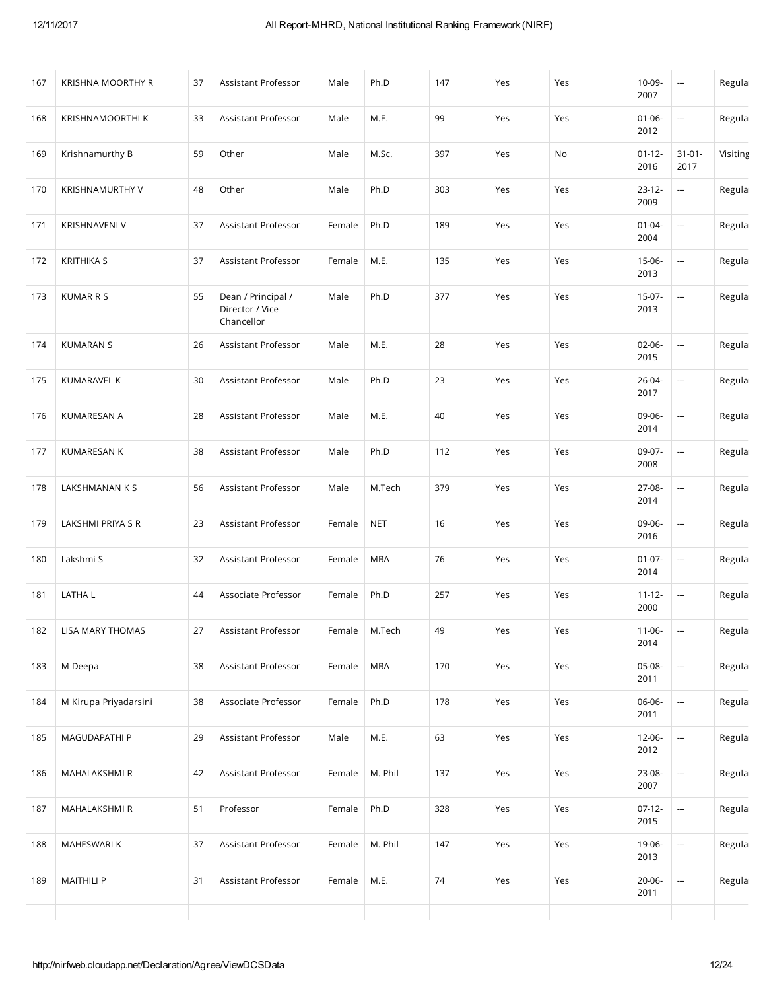| 167 | <b>KRISHNA MOORTHY R</b> | 37 | Assistant Professor                                 | Male   | Ph.D            | 147 | Yes | Yes | 10-09-<br>2007      | ---                      | Regula   |
|-----|--------------------------|----|-----------------------------------------------------|--------|-----------------|-----|-----|-----|---------------------|--------------------------|----------|
| 168 | KRISHNAMOORTHI K         | 33 | Assistant Professor                                 | Male   | M.E.            | 99  | Yes | Yes | $01 - 06 -$<br>2012 | $\frac{1}{2}$            | Regula   |
| 169 | Krishnamurthy B          | 59 | Other                                               | Male   | M.Sc.           | 397 | Yes | No  | $01-12-$<br>2016    | $31 - 01 -$<br>2017      | Visiting |
| 170 | <b>KRISHNAMURTHY V</b>   | 48 | Other                                               | Male   | Ph.D            | 303 | Yes | Yes | $23-12-$<br>2009    | ---                      | Regula   |
| 171 | <b>KRISHNAVENI V</b>     | 37 | Assistant Professor                                 | Female | Ph.D            | 189 | Yes | Yes | $01 - 04 -$<br>2004 | ---                      | Regula   |
| 172 | <b>KRITHIKA S</b>        | 37 | Assistant Professor                                 | Female | M.E.            | 135 | Yes | Yes | $15-06-$<br>2013    | $\hspace{0.05cm}$        | Regula   |
| 173 | <b>KUMAR R S</b>         | 55 | Dean / Principal /<br>Director / Vice<br>Chancellor | Male   | Ph.D            | 377 | Yes | Yes | $15-07-$<br>2013    | ---                      | Regula   |
| 174 | <b>KUMARAN S</b>         | 26 | Assistant Professor                                 | Male   | M.E.            | 28  | Yes | Yes | $02 - 06 -$<br>2015 | $\overline{a}$           | Regula   |
| 175 | <b>KUMARAVEL K</b>       | 30 | Assistant Professor                                 | Male   | Ph.D            | 23  | Yes | Yes | 26-04-<br>2017      | ---                      | Regula   |
| 176 | <b>KUMARESAN A</b>       | 28 | Assistant Professor                                 | Male   | M.E.            | 40  | Yes | Yes | 09-06-<br>2014      | ---                      | Regula   |
| 177 | KUMARESAN K              | 38 | Assistant Professor                                 | Male   | Ph.D            | 112 | Yes | Yes | 09-07-<br>2008      | ---                      | Regula   |
| 178 | LAKSHMANAN K S           | 56 | Assistant Professor                                 | Male   | M.Tech          | 379 | Yes | Yes | 27-08-<br>2014      | ---                      | Regula   |
| 179 | LAKSHMI PRIYA S R        | 23 | Assistant Professor                                 | Female | <b>NET</b>      | 16  | Yes | Yes | 09-06-<br>2016      | ---                      | Regula   |
| 180 | Lakshmi S                | 32 | Assistant Professor                                 | Female | <b>MBA</b>      | 76  | Yes | Yes | $01 - 07 -$<br>2014 | ---                      | Regula   |
| 181 | LATHA L                  | 44 | Associate Professor                                 | Female | Ph.D            | 257 | Yes | Yes | $11 - 12 -$<br>2000 | ---                      | Regula   |
| 182 | LISA MARY THOMAS         | 27 | Assistant Professor                                 |        | Female   M.Tech | 49  | Yes | Yes | $11-06-$<br>2014    |                          | Regula   |
| 183 | M Deepa                  | 38 | Assistant Professor                                 | Female | <b>MBA</b>      | 170 | Yes | Yes | 05-08-<br>2011      | $\overline{\phantom{a}}$ | Regula   |
| 184 | M Kirupa Priyadarsini    | 38 | Associate Professor                                 | Female | Ph.D            | 178 | Yes | Yes | 06-06-<br>2011      | ---                      | Regula   |
| 185 | MAGUDAPATHI P            | 29 | Assistant Professor                                 | Male   | M.E.            | 63  | Yes | Yes | 12-06-<br>2012      | --                       | Regula   |
| 186 | MAHALAKSHMI R            | 42 | Assistant Professor                                 | Female | M. Phil         | 137 | Yes | Yes | 23-08-<br>2007      | ---                      | Regula   |
| 187 | MAHALAKSHMI R            | 51 | Professor                                           | Female | Ph.D            | 328 | Yes | Yes | $07-12-$<br>2015    | --                       | Regula   |
| 188 | MAHESWARI K              | 37 | Assistant Professor                                 | Female | M. Phil         | 147 | Yes | Yes | 19-06-<br>2013      | --                       | Regula   |
| 189 | <b>MAITHILI P</b>        | 31 | Assistant Professor                                 | Female | M.E.            | 74  | Yes | Yes | 20-06-<br>2011      | --                       | Regula   |
|     |                          |    |                                                     |        |                 |     |     |     |                     |                          |          |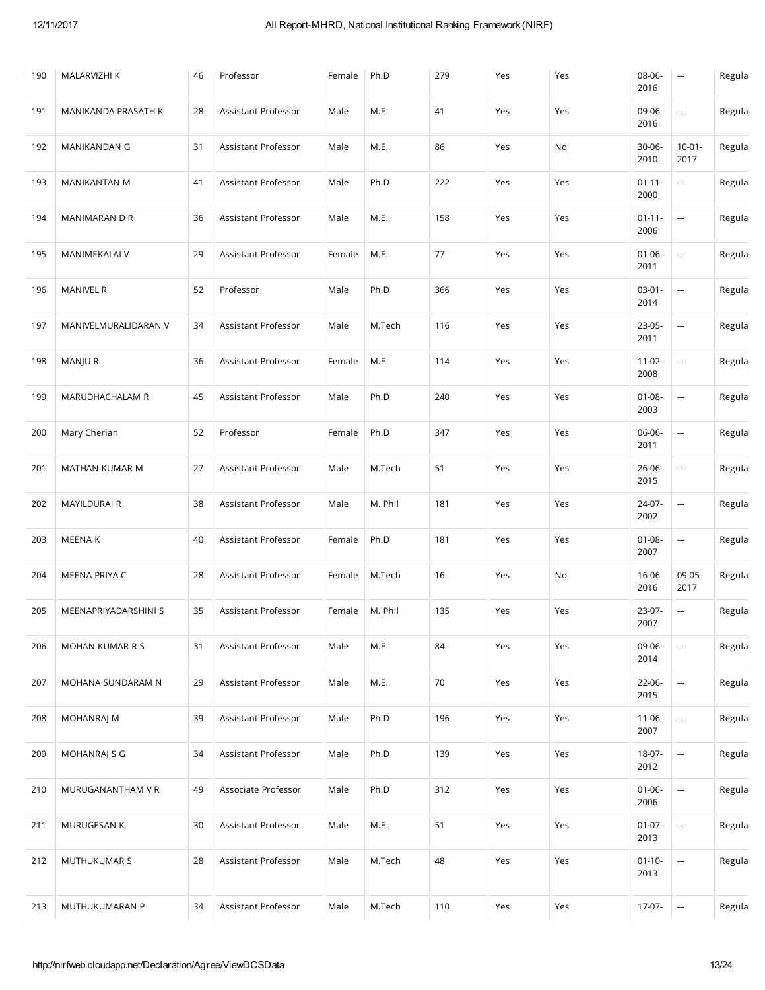| 190 | MALARVIZHI K         | 46 | Professor           | Female | Ph.D    | 279 | Yes | Yes | 08-06-<br>2016      | ---                      | Regula |
|-----|----------------------|----|---------------------|--------|---------|-----|-----|-----|---------------------|--------------------------|--------|
| 191 | MANIKANDA PRASATH K  | 28 | Assistant Professor | Male   | M.E.    | 41  | Yes | Yes | 09-06-<br>2016      | ---                      | Regula |
| 192 | MANIKANDAN G         | 31 | Assistant Professor | Male   | M.E.    | 86  | Yes | No  | $30 - 06 -$<br>2010 | $10 - 01 -$<br>2017      | Regula |
| 193 | MANIKANTAN M         | 41 | Assistant Professor | Male   | Ph.D    | 222 | Yes | Yes | $01 - 11 -$<br>2000 | $\overline{\phantom{a}}$ | Regula |
| 194 | MANIMARAN D R        | 36 | Assistant Professor | Male   | M.E.    | 158 | Yes | Yes | $01 - 11 -$<br>2006 | ---                      | Regula |
| 195 | MANIMEKALAI V        | 29 | Assistant Professor | Female | M.E.    | 77  | Yes | Yes | $01-06-$<br>2011    | ---                      | Regula |
| 196 | <b>MANIVEL R</b>     | 52 | Professor           | Male   | Ph.D    | 366 | Yes | Yes | $03 - 01 -$<br>2014 | ---                      | Regula |
| 197 | MANIVELMURALIDARAN V | 34 | Assistant Professor | Male   | M.Tech  | 116 | Yes | Yes | 23-05-<br>2011      | ---                      | Regula |
| 198 | MANJU R              | 36 | Assistant Professor | Female | M.E.    | 114 | Yes | Yes | $11-02-$<br>2008    | ---                      | Regula |
| 199 | MARUDHACHALAM R      | 45 | Assistant Professor | Male   | Ph.D    | 240 | Yes | Yes | $01 - 08 -$<br>2003 | ---                      | Regula |
| 200 | Mary Cherian         | 52 | Professor           | Female | Ph.D    | 347 | Yes | Yes | 06-06-<br>2011      | ---                      | Regula |
| 201 | MATHAN KUMAR M       | 27 | Assistant Professor | Male   | M.Tech  | 51  | Yes | Yes | 26-06-<br>2015      | ---                      | Regula |
| 202 | MAYILDURAI R         | 38 | Assistant Professor | Male   | M. Phil | 181 | Yes | Yes | 24-07-<br>2002      | ---                      | Regula |
| 203 | MEENA K              | 40 | Assistant Professor | Female | Ph.D    | 181 | Yes | Yes | $01 - 08 -$<br>2007 | ---                      | Regula |
| 204 | MEENA PRIYA C        | 28 | Assistant Professor | Female | M.Tech  | 16  | Yes | No  | $16 - 06 -$<br>2016 | 09-05-<br>2017           | Regula |
| 205 | MEENAPRIYADARSHINI S | 35 | Assistant Professor | Female | M. Phil | 135 | Yes | Yes | 23-07-<br>2007      | ---                      | Regula |
| 206 | MOHAN KUMAR R S      | 31 | Assistant Professor | Male   | M.E.    | 84  | Yes | Yes | 09-06-<br>2014      | ---                      | Regula |
| 207 | MOHANA SUNDARAM N    | 29 | Assistant Professor | Male   | M.E.    | 70  | Yes | Yes | 22-06-<br>2015      | ---                      | Regula |
| 208 | <b>MOHANRAJ M</b>    | 39 | Assistant Professor | Male   | Ph.D    | 196 | Yes | Yes | $11 - 06 -$<br>2007 | ---                      | Regula |
| 209 | MOHANRAJ S G         | 34 | Assistant Professor | Male   | Ph.D    | 139 | Yes | Yes | 18-07-<br>2012      | ---                      | Regula |
| 210 | MURUGANANTHAM V R    | 49 | Associate Professor | Male   | Ph.D    | 312 | Yes | Yes | $01 - 06 -$<br>2006 | ---                      | Regula |
| 211 | MURUGESAN K          | 30 | Assistant Professor | Male   | M.E.    | 51  | Yes | Yes | $01-07-$<br>2013    | ---                      | Regula |
| 212 | MUTHUKUMAR S         | 28 | Assistant Professor | Male   | M.Tech  | 48  | Yes | Yes | $01 - 10 -$<br>2013 | ---                      | Regula |
| 213 | MUTHUKUMARAN P       | 34 | Assistant Professor | Male   | M.Tech  | 110 | Yes | Yes | 17-07-              | ---                      | Regula |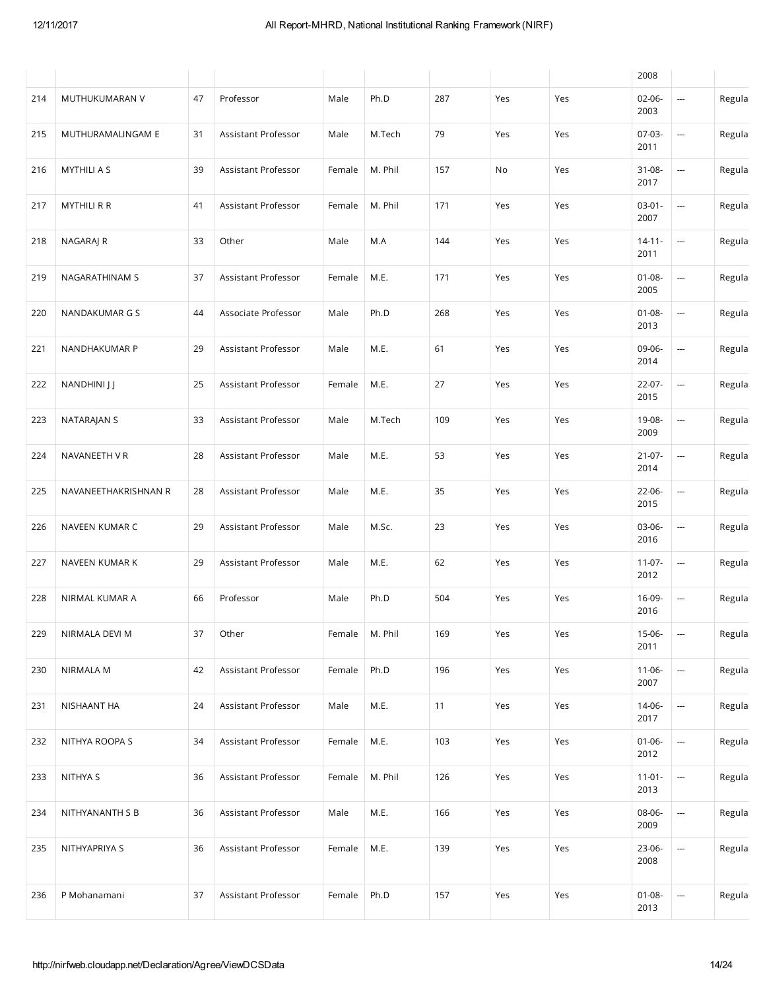|     |                      |    |                            |        |         |     |     |     | 2008                |                          |        |
|-----|----------------------|----|----------------------------|--------|---------|-----|-----|-----|---------------------|--------------------------|--------|
| 214 | MUTHUKUMARAN V       | 47 | Professor                  | Male   | Ph.D    | 287 | Yes | Yes | $02 - 06 -$<br>2003 | ---                      | Regula |
| 215 | MUTHURAMALINGAM E    | 31 | Assistant Professor        | Male   | M.Tech  | 79  | Yes | Yes | 07-03-<br>2011      | $\frac{1}{2}$            | Regula |
| 216 | <b>MYTHILI A S</b>   | 39 | Assistant Professor        | Female | M. Phil | 157 | No  | Yes | $31 - 08 -$<br>2017 | ---                      | Regula |
| 217 | <b>MYTHILI R R</b>   | 41 | Assistant Professor        | Female | M. Phil | 171 | Yes | Yes | $03-01-$<br>2007    | --                       | Regula |
| 218 | NAGARAJ R            | 33 | Other                      | Male   | M.A     | 144 | Yes | Yes | $14 - 11 -$<br>2011 | $\overline{\phantom{a}}$ | Regula |
| 219 | NAGARATHINAM S       | 37 | Assistant Professor        | Female | M.E.    | 171 | Yes | Yes | $01 - 08 -$<br>2005 | ---                      | Regula |
| 220 | NANDAKUMAR G S       | 44 | Associate Professor        | Male   | Ph.D    | 268 | Yes | Yes | $01 - 08 -$<br>2013 | --                       | Regula |
| 221 | NANDHAKUMAR P        | 29 | Assistant Professor        | Male   | M.E.    | 61  | Yes | Yes | 09-06-<br>2014      | --                       | Regula |
| 222 | NANDHINI J J         | 25 | Assistant Professor        | Female | M.E.    | 27  | Yes | Yes | $22-07-$<br>2015    | ---                      | Regula |
| 223 | NATARAJAN S          | 33 | <b>Assistant Professor</b> | Male   | M.Tech  | 109 | Yes | Yes | 19-08-<br>2009      | $\frac{1}{2}$            | Regula |
| 224 | NAVANEETH VR         | 28 | Assistant Professor        | Male   | M.E.    | 53  | Yes | Yes | $21 - 07 -$<br>2014 | ---                      | Regula |
| 225 | NAVANEETHAKRISHNAN R | 28 | Assistant Professor        | Male   | M.E.    | 35  | Yes | Yes | 22-06-<br>2015      | ---                      | Regula |
| 226 | NAVEEN KUMAR C       | 29 | Assistant Professor        | Male   | M.Sc.   | 23  | Yes | Yes | 03-06-<br>2016      | ---                      | Regula |
| 227 | NAVEEN KUMAR K       | 29 | Assistant Professor        | Male   | M.E.    | 62  | Yes | Yes | $11-07-$<br>2012    | ---                      | Regula |
| 228 | NIRMAL KUMAR A       | 66 | Professor                  | Male   | Ph.D    | 504 | Yes | Yes | 16-09-<br>2016      | --                       | Regula |
| 229 | NIRMALA DEVI M       | 37 | Other                      | Female | M. Phil | 169 | Yes | Yes | 15-06-<br>2011      | --                       | Regula |
| 230 | <b>NIRMALA M</b>     | 42 | Assistant Professor        | Female | Ph.D    | 196 | Yes | Yes | $11-06-$<br>2007    | $\overline{\phantom{a}}$ | Regula |
| 231 | NISHAANT HA          | 24 | Assistant Professor        | Male   | M.E.    | 11  | Yes | Yes | 14-06-<br>2017      | --                       | Regula |
| 232 | NITHYA ROOPA S       | 34 | Assistant Professor        | Female | M.E.    | 103 | Yes | Yes | $01 - 06 -$<br>2012 | $\overline{\phantom{a}}$ | Regula |
| 233 | NITHYA S             | 36 | Assistant Professor        | Female | M. Phil | 126 | Yes | Yes | $11-01-$<br>2013    | ---                      | Regula |
| 234 | NITHYANANTH S B      | 36 | Assistant Professor        | Male   | M.E.    | 166 | Yes | Yes | 08-06-<br>2009      | --                       | Regula |
| 235 | NITHYAPRIYA S        | 36 | Assistant Professor        | Female | M.E.    | 139 | Yes | Yes | 23-06-<br>2008      | $\overline{\phantom{a}}$ | Regula |
| 236 | P Mohanamani         | 37 | Assistant Professor        | Female | Ph.D    | 157 | Yes | Yes | $01 - 08 -$<br>2013 | $\overline{\phantom{a}}$ | Regula |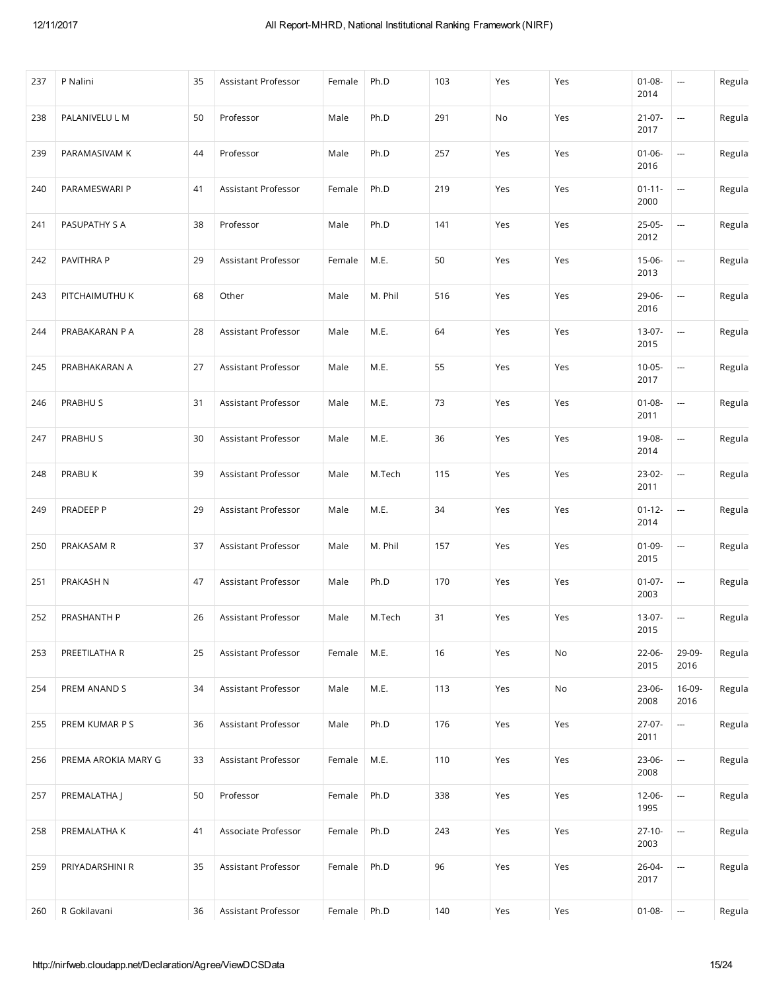| 237 | P Nalini            | 35 | Assistant Professor | Female | Ph.D    | 103 | Yes | Yes | $01 - 08 -$<br>2014 | ---                      | Regula |
|-----|---------------------|----|---------------------|--------|---------|-----|-----|-----|---------------------|--------------------------|--------|
| 238 | PALANIVELU L M      | 50 | Professor           | Male   | Ph.D    | 291 | No  | Yes | $21-07-$<br>2017    | ---                      | Regula |
| 239 | PARAMASIVAM K       | 44 | Professor           | Male   | Ph.D    | 257 | Yes | Yes | $01 - 06 -$<br>2016 | --                       | Regula |
| 240 | PARAMESWARI P       | 41 | Assistant Professor | Female | Ph.D    | 219 | Yes | Yes | $01 - 11 -$<br>2000 | --                       | Regula |
| 241 | PASUPATHY S A       | 38 | Professor           | Male   | Ph.D    | 141 | Yes | Yes | 25-05-<br>2012      | $\overline{a}$           | Regula |
| 242 | PAVITHRA P          | 29 | Assistant Professor | Female | M.E.    | 50  | Yes | Yes | 15-06-<br>2013      | --                       | Regula |
| 243 | PITCHAIMUTHU K      | 68 | Other               | Male   | M. Phil | 516 | Yes | Yes | 29-06-<br>2016      | ---                      | Regula |
| 244 | PRABAKARAN P A      | 28 | Assistant Professor | Male   | M.E.    | 64  | Yes | Yes | 13-07-<br>2015      | ---                      | Regula |
| 245 | PRABHAKARAN A       | 27 | Assistant Professor | Male   | M.E.    | 55  | Yes | Yes | $10-05-$<br>2017    | ---                      | Regula |
| 246 | PRABHU S            | 31 | Assistant Professor | Male   | M.E.    | 73  | Yes | Yes | $01 - 08 -$<br>2011 | ---                      | Regula |
| 247 | PRABHU S            | 30 | Assistant Professor | Male   | M.E.    | 36  | Yes | Yes | 19-08-<br>2014      | ---                      | Regula |
| 248 | PRABU K             | 39 | Assistant Professor | Male   | M.Tech  | 115 | Yes | Yes | 23-02-<br>2011      | --                       | Regula |
| 249 | PRADEEP P           | 29 | Assistant Professor | Male   | M.E.    | 34  | Yes | Yes | $01 - 12 -$<br>2014 | $\overline{a}$           | Regula |
| 250 | PRAKASAM R          | 37 | Assistant Professor | Male   | M. Phil | 157 | Yes | Yes | $01-09-$<br>2015    | --                       | Regula |
| 251 | PRAKASH N           | 47 | Assistant Professor | Male   | Ph.D    | 170 | Yes | Yes | $01-07-$<br>2003    | --                       | Regula |
| 252 | PRASHANTH P         | 26 | Assistant Professor | Male   | M.Tech  | 31  | Yes | Yes | 13-07-<br>2015      | $\sim$                   | Regula |
| 253 | PREETILATHA R       | 25 | Assistant Professor | Female | M.E.    | 16  | Yes | No  | $22-06-$<br>2015    | 29-09-<br>2016           | Regula |
| 254 | PREM ANAND S        | 34 | Assistant Professor | Male   | M.E.    | 113 | Yes | No  | 23-06-<br>2008      | 16-09-<br>2016           | Regula |
| 255 | PREM KUMAR P S      | 36 | Assistant Professor | Male   | Ph.D    | 176 | Yes | Yes | $27-07-$<br>2011    | ---                      | Regula |
| 256 | PREMA AROKIA MARY G | 33 | Assistant Professor | Female | M.E.    | 110 | Yes | Yes | 23-06-<br>2008      | ---                      | Regula |
| 257 | PREMALATHA J        | 50 | Professor           | Female | Ph.D    | 338 | Yes | Yes | 12-06-<br>1995      | $\overline{\phantom{a}}$ | Regula |
| 258 | PREMALATHA K        | 41 | Associate Professor | Female | Ph.D    | 243 | Yes | Yes | $27-10-$<br>2003    | $\cdots$                 | Regula |
| 259 | PRIYADARSHINI R     | 35 | Assistant Professor | Female | Ph.D    | 96  | Yes | Yes | 26-04-<br>2017      | $\cdots$                 | Regula |
| 260 | R Gokilavani        | 36 | Assistant Professor | Female | Ph.D    | 140 | Yes | Yes | $01 - 08 -$         | --                       | Regula |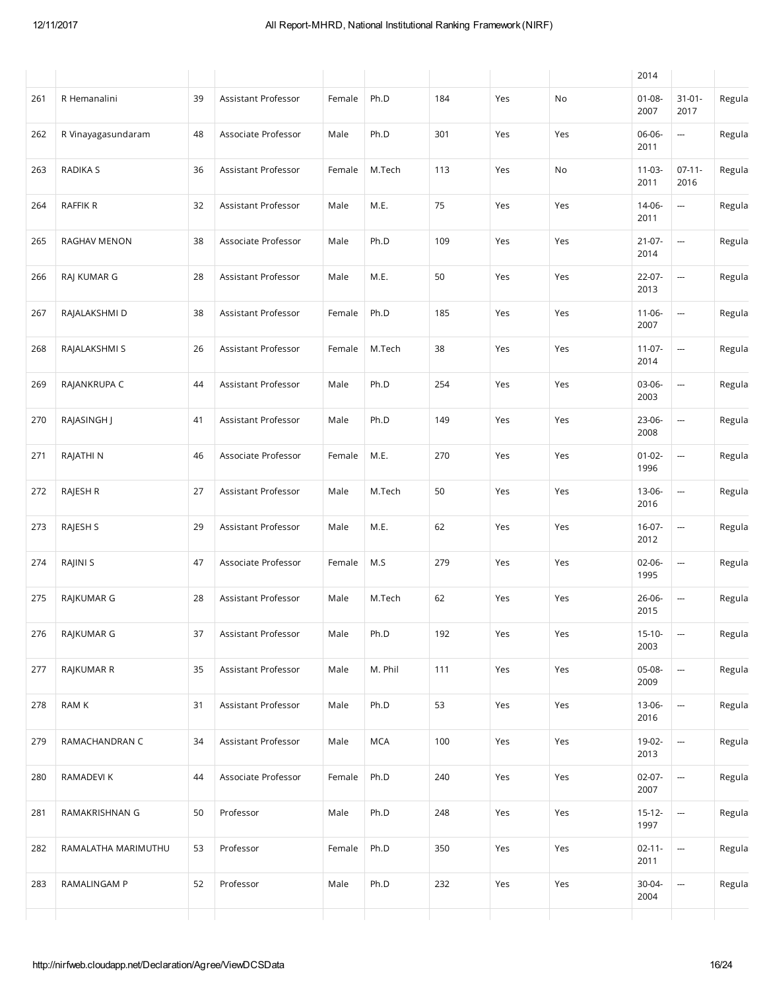|     |                     |    |                     |        |         |     |     |     | 2014                |                          |        |
|-----|---------------------|----|---------------------|--------|---------|-----|-----|-----|---------------------|--------------------------|--------|
| 261 | R Hemanalini        | 39 | Assistant Professor | Female | Ph.D    | 184 | Yes | No  | $01 - 08 -$<br>2007 | $31 - 01 -$<br>2017      | Regula |
| 262 | R Vinayagasundaram  | 48 | Associate Professor | Male   | Ph.D    | 301 | Yes | Yes | 06-06-<br>2011      | ---                      | Regula |
| 263 | <b>RADIKA S</b>     | 36 | Assistant Professor | Female | M.Tech  | 113 | Yes | No  | $11-03-$<br>2011    | $07-11-$<br>2016         | Regula |
| 264 | RAFFIK R            | 32 | Assistant Professor | Male   | M.E.    | 75  | Yes | Yes | 14-06-<br>2011      | $\overline{\phantom{a}}$ | Regula |
| 265 | <b>RAGHAV MENON</b> | 38 | Associate Professor | Male   | Ph.D    | 109 | Yes | Yes | $21-07-$<br>2014    | ---                      | Regula |
| 266 | RAJ KUMAR G         | 28 | Assistant Professor | Male   | M.E.    | 50  | Yes | Yes | 22-07-<br>2013      | ---                      | Regula |
| 267 | RAJALAKSHMI D       | 38 | Assistant Professor | Female | Ph.D    | 185 | Yes | Yes | $11-06-$<br>2007    | ---                      | Regula |
| 268 | RAJALAKSHMI S       | 26 | Assistant Professor | Female | M.Tech  | 38  | Yes | Yes | $11-07-$<br>2014    | ---                      | Regula |
| 269 | RAJANKRUPA C        | 44 | Assistant Professor | Male   | Ph.D    | 254 | Yes | Yes | 03-06-<br>2003      | ---                      | Regula |
| 270 | RAJASINGH J         | 41 | Assistant Professor | Male   | Ph.D    | 149 | Yes | Yes | 23-06-<br>2008      | ---                      | Regula |
| 271 | RAJATHI N           | 46 | Associate Professor | Female | M.E.    | 270 | Yes | Yes | $01 - 02 -$<br>1996 | ---                      | Regula |
| 272 | RAJESH R            | 27 | Assistant Professor | Male   | M.Tech  | 50  | Yes | Yes | 13-06-<br>2016      | ---                      | Regula |
| 273 | RAJESH S            | 29 | Assistant Professor | Male   | M.E.    | 62  | Yes | Yes | $16-07-$<br>2012    | ---                      | Regula |
| 274 | RAJINI S            | 47 | Associate Professor | Female | M.S     | 279 | Yes | Yes | $02-06-$<br>1995    | ---                      | Regula |
| 275 | RAJKUMAR G          | 28 | Assistant Professor | Male   | M.Tech  | 62  | Yes | Yes | 26-06-<br>2015      |                          | Regula |
| 276 | RAJKUMAR G          | 37 | Assistant Professor | Male   | Ph.D    | 192 | Yes | Yes | $15-10-$<br>2003    | --                       | Regula |
| 277 | RAJKUMAR R          | 35 | Assistant Professor | Male   | M. Phil | 111 | Yes | Yes | 05-08-<br>2009      | ---                      | Regula |
| 278 | RAM K               | 31 | Assistant Professor | Male   | Ph.D    | 53  | Yes | Yes | 13-06-<br>2016      | ---                      | Regula |
| 279 | RAMACHANDRAN C      | 34 | Assistant Professor | Male   | MCA     | 100 | Yes | Yes | 19-02-<br>2013      | $\overline{\phantom{a}}$ | Regula |
| 280 | RAMADEVI K          | 44 | Associate Professor | Female | Ph.D    | 240 | Yes | Yes | $02-07-$<br>2007    | ---                      | Regula |
| 281 | RAMAKRISHNAN G      | 50 | Professor           | Male   | Ph.D    | 248 | Yes | Yes | $15 - 12 -$<br>1997 | --                       | Regula |
| 282 | RAMALATHA MARIMUTHU | 53 | Professor           | Female | Ph.D    | 350 | Yes | Yes | $02 - 11 -$<br>2011 | $\overline{\phantom{a}}$ | Regula |
| 283 | RAMALINGAM P        | 52 | Professor           | Male   | Ph.D    | 232 | Yes | Yes | 30-04-<br>2004      | --                       | Regula |
|     |                     |    |                     |        |         |     |     |     |                     |                          |        |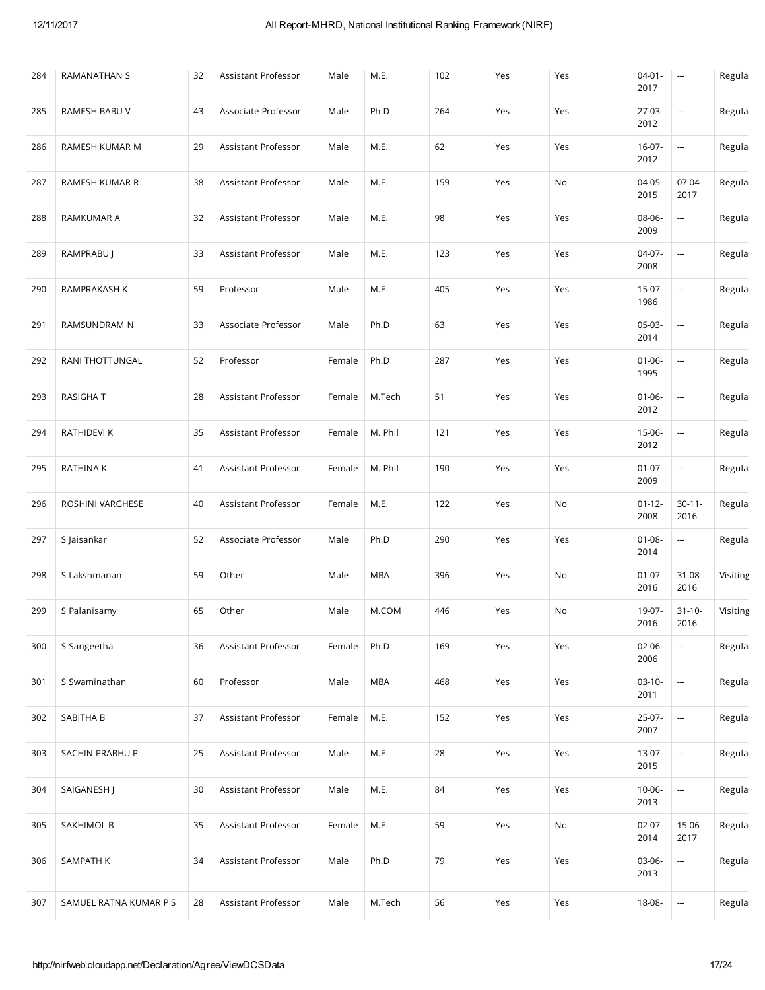| 284 | RAMANATHAN S           | 32 | Assistant Professor        | Male   | M.E.       | 102 | Yes | Yes | $04 - 01 -$<br>2017 | $\hspace{0.05cm} \cdots$ | Regula   |
|-----|------------------------|----|----------------------------|--------|------------|-----|-----|-----|---------------------|--------------------------|----------|
| 285 | <b>RAMESH BABU V</b>   | 43 | Associate Professor        | Male   | Ph.D       | 264 | Yes | Yes | 27-03-<br>2012      | ---                      | Regula   |
| 286 | RAMESH KUMAR M         | 29 | Assistant Professor        | Male   | M.E.       | 62  | Yes | Yes | $16-07-$<br>2012    | $\overline{\phantom{a}}$ | Regula   |
| 287 | RAMESH KUMAR R         | 38 | Assistant Professor        | Male   | M.E.       | 159 | Yes | No  | $04-05-$<br>2015    | 07-04-<br>2017           | Regula   |
| 288 | <b>RAMKUMAR A</b>      | 32 | <b>Assistant Professor</b> | Male   | M.E.       | 98  | Yes | Yes | 08-06-<br>2009      | ---                      | Regula   |
| 289 | RAMPRABU J             | 33 | Assistant Professor        | Male   | M.E.       | 123 | Yes | Yes | $04-07-$<br>2008    | ---                      | Regula   |
| 290 | RAMPRAKASH K           | 59 | Professor                  | Male   | M.E.       | 405 | Yes | Yes | 15-07-<br>1986      | ---                      | Regula   |
| 291 | RAMSUNDRAM N           | 33 | Associate Professor        | Male   | Ph.D       | 63  | Yes | Yes | $05-03-$<br>2014    | ---                      | Regula   |
| 292 | RANI THOTTUNGAL        | 52 | Professor                  | Female | Ph.D       | 287 | Yes | Yes | $01 - 06 -$<br>1995 | --                       | Regula   |
| 293 | <b>RASIGHAT</b>        | 28 | Assistant Professor        | Female | M.Tech     | 51  | Yes | Yes | $01 - 06 -$<br>2012 | ---                      | Regula   |
| 294 | RATHIDEVI K            | 35 | Assistant Professor        | Female | M. Phil    | 121 | Yes | Yes | 15-06-<br>2012      | ---                      | Regula   |
| 295 | RATHINA K              | 41 | Assistant Professor        | Female | M. Phil    | 190 | Yes | Yes | $01-07-$<br>2009    | ---                      | Regula   |
| 296 | ROSHINI VARGHESE       | 40 | Assistant Professor        | Female | M.E.       | 122 | Yes | No  | $01 - 12 -$<br>2008 | $30 - 11 -$<br>2016      | Regula   |
| 297 | S Jaisankar            | 52 | Associate Professor        | Male   | Ph.D       | 290 | Yes | Yes | $01 - 08 -$<br>2014 | ---                      | Regula   |
| 298 | S Lakshmanan           | 59 | Other                      | Male   | <b>MBA</b> | 396 | Yes | No  | $01-07-$<br>2016    | 31-08-<br>2016           | Visiting |
| 299 | S Palanisamy           | 65 | Other                      | Male   | M.COM      | 446 | Yes | No  | 19-07-<br>2016      | $31 - 10 -$<br>2016      | Visiting |
| 300 | S Sangeetha            | 36 | Assistant Professor        | Female | Ph.D       | 169 | Yes | Yes | $02 - 06 -$<br>2006 | ---                      | Regula   |
| 301 | S Swaminathan          | 60 | Professor                  | Male   | <b>MBA</b> | 468 | Yes | Yes | $03-10-$<br>2011    | ---                      | Regula   |
| 302 | SABITHA B              | 37 | Assistant Professor        | Female | M.E.       | 152 | Yes | Yes | 25-07-<br>2007      | ---                      | Regula   |
| 303 | SACHIN PRABHU P        | 25 | Assistant Professor        | Male   | M.E.       | 28  | Yes | Yes | 13-07-<br>2015      | ---                      | Regula   |
| 304 | SAIGANESH J            | 30 | Assistant Professor        | Male   | M.E.       | 84  | Yes | Yes | $10 - 06 -$<br>2013 | --                       | Regula   |
| 305 | SAKHIMOL B             | 35 | Assistant Professor        | Female | M.E.       | 59  | Yes | No  | $02-07-$<br>2014    | 15-06-<br>2017           | Regula   |
| 306 | SAMPATH K              | 34 | Assistant Professor        | Male   | Ph.D       | 79  | Yes | Yes | 03-06-<br>2013      | ---                      | Regula   |
| 307 | SAMUEL RATNA KUMAR P S | 28 | Assistant Professor        | Male   | M.Tech     | 56  | Yes | Yes | 18-08-              | ---                      | Regula   |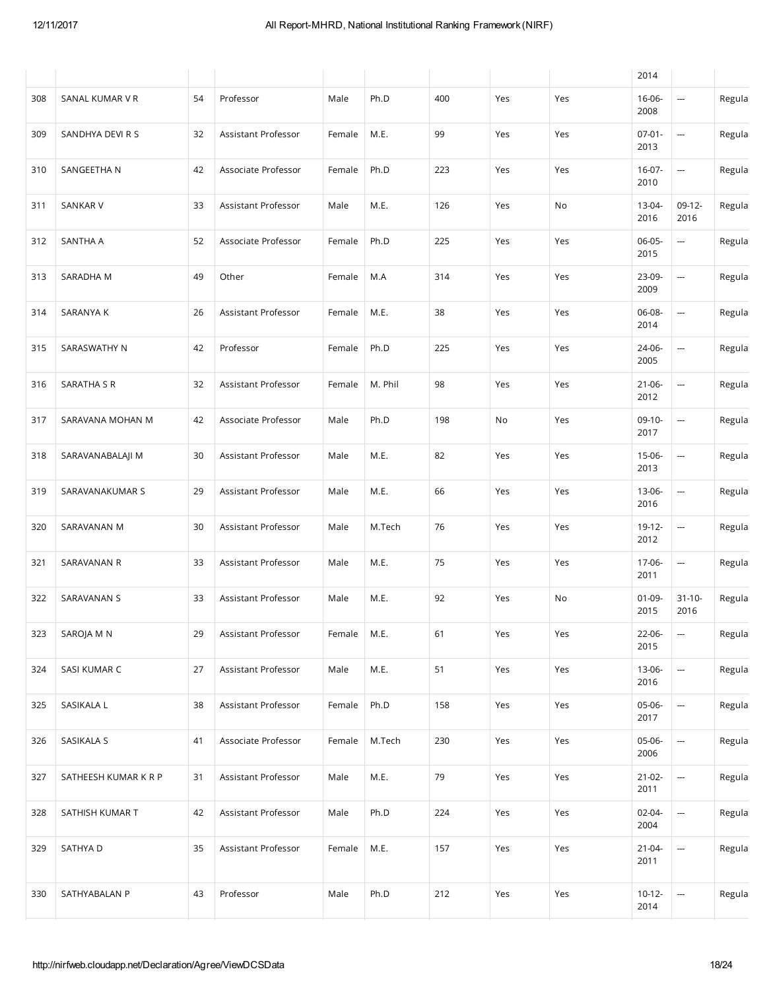|     |                      |    |                     |        |         |     |     |     | 2014                |                          |        |
|-----|----------------------|----|---------------------|--------|---------|-----|-----|-----|---------------------|--------------------------|--------|
| 308 | SANAL KUMAR V R      | 54 | Professor           | Male   | Ph.D    | 400 | Yes | Yes | 16-06-<br>2008      | ---                      | Regula |
| 309 | SANDHYA DEVI R S     | 32 | Assistant Professor | Female | M.E.    | 99  | Yes | Yes | $07 - 01 -$<br>2013 | $\overline{\phantom{m}}$ | Regula |
| 310 | SANGEETHA N          | 42 | Associate Professor | Female | Ph.D    | 223 | Yes | Yes | $16-07-$<br>2010    | ---                      | Regula |
| 311 | SANKAR V             | 33 | Assistant Professor | Male   | M.E.    | 126 | Yes | No  | 13-04-<br>2016      | $09-12-$<br>2016         | Regula |
| 312 | SANTHA A             | 52 | Associate Professor | Female | Ph.D    | 225 | Yes | Yes | 06-05-<br>2015      | ---                      | Regula |
| 313 | SARADHA M            | 49 | Other               | Female | M.A     | 314 | Yes | Yes | 23-09-<br>2009      | ---                      | Regula |
| 314 | <b>SARANYA K</b>     | 26 | Assistant Professor | Female | M.E.    | 38  | Yes | Yes | 06-08-<br>2014      | ---                      | Regula |
| 315 | SARASWATHY N         | 42 | Professor           | Female | Ph.D    | 225 | Yes | Yes | 24-06-<br>2005      | ---                      | Regula |
| 316 | SARATHA S R          | 32 | Assistant Professor | Female | M. Phil | 98  | Yes | Yes | $21-06-$<br>2012    | ---                      | Regula |
| 317 | SARAVANA MOHAN M     | 42 | Associate Professor | Male   | Ph.D    | 198 | No  | Yes | $09-10-$<br>2017    | $\frac{1}{2}$            | Regula |
| 318 | SARAVANABALAJI M     | 30 | Assistant Professor | Male   | M.E.    | 82  | Yes | Yes | 15-06-<br>2013      | $\frac{1}{2}$            | Regula |
| 319 | SARAVANAKUMAR S      | 29 | Assistant Professor | Male   | M.E.    | 66  | Yes | Yes | 13-06-<br>2016      | ---                      | Regula |
| 320 | SARAVANAN M          | 30 | Assistant Professor | Male   | M.Tech  | 76  | Yes | Yes | 19-12-<br>2012      | ---                      | Regula |
| 321 | SARAVANAN R          | 33 | Assistant Professor | Male   | M.E.    | 75  | Yes | Yes | 17-06-<br>2011      | $\overline{\phantom{a}}$ | Regula |
| 322 | SARAVANAN S          | 33 | Assistant Professor | Male   | M.E.    | 92  | Yes | No  | $01-09-$<br>2015    | $31 - 10 -$<br>2016      | Regula |
| 323 | SAROJA M N           | 29 | Assistant Professor | Female | M.E.    | 61  | Yes | Yes | 22-06-<br>2015      | --                       | Regula |
| 324 | SASI KUMAR C         | 27 | Assistant Professor | Male   | M.E.    | 51  | Yes | Yes | 13-06-<br>2016      | ---                      | Regula |
| 325 | SASIKALA L           | 38 | Assistant Professor | Female | Ph.D    | 158 | Yes | Yes | 05-06-<br>2017      | $\overline{\phantom{a}}$ | Regula |
| 326 | SASIKALA S           | 41 | Associate Professor | Female | M.Tech  | 230 | Yes | Yes | 05-06-<br>2006      | $\frac{1}{2}$            | Regula |
| 327 | SATHEESH KUMAR K R P | 31 | Assistant Professor | Male   | M.E.    | 79  | Yes | Yes | $21-02-$<br>2011    | $\frac{1}{2}$            | Regula |
| 328 | SATHISH KUMAR T      | 42 | Assistant Professor | Male   | Ph.D    | 224 | Yes | Yes | 02-04-<br>2004      | ---                      | Regula |
| 329 | SATHYA D             | 35 | Assistant Professor | Female | M.E.    | 157 | Yes | Yes | $21 - 04 -$<br>2011 | $\overline{\phantom{a}}$ | Regula |
| 330 | SATHYABALAN P        | 43 | Professor           | Male   | Ph.D    | 212 | Yes | Yes | $10-12-$<br>2014    |                          | Regula |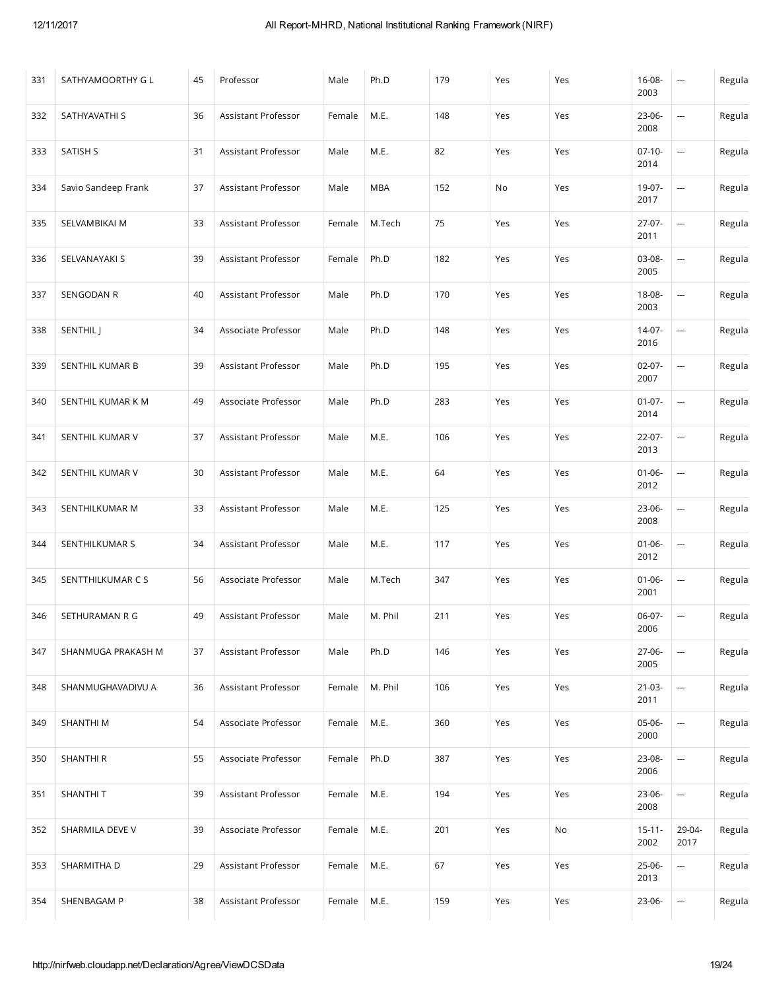| 331 | SATHYAMOORTHY G L   | 45 | Professor           | Male   | Ph.D       | 179 | Yes | Yes | $16 - 08 -$<br>2003 | ---                      | Regula |
|-----|---------------------|----|---------------------|--------|------------|-----|-----|-----|---------------------|--------------------------|--------|
| 332 | SATHYAVATHI S       | 36 | Assistant Professor | Female | M.E.       | 148 | Yes | Yes | 23-06-<br>2008      | ---                      | Regula |
| 333 | <b>SATISH S</b>     | 31 | Assistant Professor | Male   | M.E.       | 82  | Yes | Yes | $07-10-$<br>2014    | ---                      | Regula |
| 334 | Savio Sandeep Frank | 37 | Assistant Professor | Male   | <b>MBA</b> | 152 | No  | Yes | 19-07-<br>2017      | ---                      | Regula |
| 335 | SELVAMBIKAI M       | 33 | Assistant Professor | Female | M.Tech     | 75  | Yes | Yes | 27-07-<br>2011      | ---                      | Regula |
| 336 | SELVANAYAKI S       | 39 | Assistant Professor | Female | Ph.D       | 182 | Yes | Yes | 03-08-<br>2005      | --                       | Regula |
| 337 | SENGODAN R          | 40 | Assistant Professor | Male   | Ph.D       | 170 | Yes | Yes | 18-08-<br>2003      | ---                      | Regula |
| 338 | SENTHIL J           | 34 | Associate Professor | Male   | Ph.D       | 148 | Yes | Yes | 14-07-<br>2016      | ---                      | Regula |
| 339 | SENTHIL KUMAR B     | 39 | Assistant Professor | Male   | Ph.D       | 195 | Yes | Yes | $02-07-$<br>2007    | ---                      | Regula |
| 340 | SENTHIL KUMAR K M   | 49 | Associate Professor | Male   | Ph.D       | 283 | Yes | Yes | $01-07-$<br>2014    | ---                      | Regula |
| 341 | SENTHIL KUMAR V     | 37 | Assistant Professor | Male   | M.E.       | 106 | Yes | Yes | 22-07-<br>2013      | ---                      | Regula |
| 342 | SENTHIL KUMAR V     | 30 | Assistant Professor | Male   | M.E.       | 64  | Yes | Yes | $01 - 06 -$<br>2012 | ---                      | Regula |
| 343 | SENTHILKUMAR M      | 33 | Assistant Professor | Male   | M.E.       | 125 | Yes | Yes | 23-06-<br>2008      | ---                      | Regula |
| 344 | SENTHILKUMAR S      | 34 | Assistant Professor | Male   | M.E.       | 117 | Yes | Yes | $01 - 06 -$<br>2012 | ---                      | Regula |
| 345 | SENTTHILKUMAR C S   | 56 | Associate Professor | Male   | M.Tech     | 347 | Yes | Yes | $01 - 06 -$<br>2001 | ---                      | Regula |
| 346 | SETHURAMAN R G      | 49 | Assistant Professor | Male   | M. Phil    | 211 | Yes | Yes | 06-07-<br>2006      | $\sim$                   | Regula |
| 347 | SHANMUGA PRAKASH M  | 37 | Assistant Professor | Male   | Ph.D       | 146 | Yes | Yes | 27-06-<br>2005      | ---                      | Regula |
| 348 | SHANMUGHAVADIVU A   | 36 | Assistant Professor | Female | M. Phil    | 106 | Yes | Yes | $21-03-$<br>2011    | $\overline{\phantom{a}}$ | Regula |
| 349 | SHANTHI M           | 54 | Associate Professor | Female | M.E.       | 360 | Yes | Yes | 05-06-<br>2000      | ---                      | Regula |
| 350 | SHANTHI R           | 55 | Associate Professor | Female | Ph.D       | 387 | Yes | Yes | 23-08-<br>2006      | --                       | Regula |
| 351 | SHANTHI T           | 39 | Assistant Professor | Female | M.E.       | 194 | Yes | Yes | 23-06-<br>2008      | --                       | Regula |
| 352 | SHARMILA DEVE V     | 39 | Associate Professor | Female | M.E.       | 201 | Yes | No  | $15 - 11 -$<br>2002 | 29-04-<br>2017           | Regula |
| 353 | SHARMITHA D         | 29 | Assistant Professor | Female | M.E.       | 67  | Yes | Yes | 25-06-<br>2013      | ---                      | Regula |
| 354 | SHENBAGAM P         | 38 | Assistant Professor | Female | M.E.       | 159 | Yes | Yes | 23-06-              | --                       | Regula |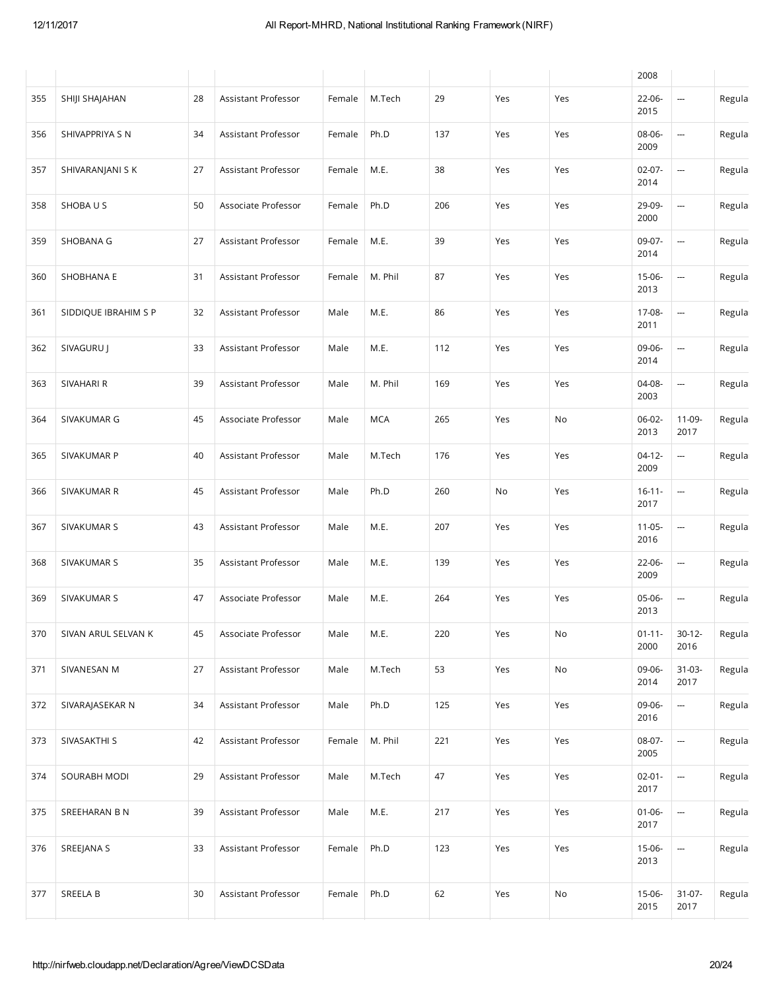|     |                      |    |                     |        |            |     |     |     | 2008                |                          |        |
|-----|----------------------|----|---------------------|--------|------------|-----|-----|-----|---------------------|--------------------------|--------|
| 355 | SHIJI SHAJAHAN       | 28 | Assistant Professor | Female | M.Tech     | 29  | Yes | Yes | 22-06-<br>2015      | ---                      | Regula |
| 356 | SHIVAPPRIYA S N      | 34 | Assistant Professor | Female | Ph.D       | 137 | Yes | Yes | 08-06-<br>2009      | ---                      | Regula |
| 357 | SHIVARANJANI S K     | 27 | Assistant Professor | Female | M.E.       | 38  | Yes | Yes | $02-07-$<br>2014    | ---                      | Regula |
| 358 | SHOBA U S            | 50 | Associate Professor | Female | Ph.D       | 206 | Yes | Yes | 29-09-<br>2000      | --                       | Regula |
| 359 | SHOBANA G            | 27 | Assistant Professor | Female | M.E.       | 39  | Yes | Yes | 09-07-<br>2014      | ---                      | Regula |
| 360 | SHOBHANA E           | 31 | Assistant Professor | Female | M. Phil    | 87  | Yes | Yes | 15-06-<br>2013      |                          | Regula |
| 361 | SIDDIQUE IBRAHIM S P | 32 | Assistant Professor | Male   | M.E.       | 86  | Yes | Yes | 17-08-<br>2011      | ---                      | Regula |
| 362 | SIVAGURU J           | 33 | Assistant Professor | Male   | M.E.       | 112 | Yes | Yes | 09-06-<br>2014      | --                       | Regula |
| 363 | SIVAHARI R           | 39 | Assistant Professor | Male   | M. Phil    | 169 | Yes | Yes | 04-08-<br>2003      | ---                      | Regula |
| 364 | SIVAKUMAR G          | 45 | Associate Professor | Male   | <b>MCA</b> | 265 | Yes | No  | 06-02-<br>2013      | 11-09-<br>2017           | Regula |
| 365 | SIVAKUMAR P          | 40 | Assistant Professor | Male   | M.Tech     | 176 | Yes | Yes | $04-12-$<br>2009    | $\overline{\phantom{a}}$ | Regula |
| 366 | SIVAKUMAR R          | 45 | Assistant Professor | Male   | Ph.D       | 260 | No  | Yes | $16 - 11 -$<br>2017 | ---                      | Regula |
| 367 | SIVAKUMAR S          | 43 | Assistant Professor | Male   | M.E.       | 207 | Yes | Yes | $11-05-$<br>2016    | ---                      | Regula |
| 368 | SIVAKUMAR S          | 35 | Assistant Professor | Male   | M.E.       | 139 | Yes | Yes | 22-06-<br>2009      | ---                      | Regula |
| 369 | SIVAKUMAR S          | 47 | Associate Professor | Male   | M.E.       | 264 | Yes | Yes | 05-06-<br>2013      | ---                      | Regula |
| 370 | SIVAN ARUL SELVAN K  | 45 | Associate Professor | Male   | M.E.       | 220 | Yes | No  | $01 - 11 -$<br>2000 | $30-12-$<br>2016         | Regula |
| 371 | SIVANESAN M          | 27 | Assistant Professor | Male   | M.Tech     | 53  | Yes | No  | 09-06-<br>2014      | $31-03-$<br>2017         | Regula |
| 372 | SIVARAJASEKAR N      | 34 | Assistant Professor | Male   | Ph.D       | 125 | Yes | Yes | 09-06-<br>2016      | $\overline{\phantom{a}}$ | Regula |
| 373 | SIVASAKTHI S         | 42 | Assistant Professor | Female | M. Phil    | 221 | Yes | Yes | 08-07-<br>2005      | --                       | Regula |
| 374 | SOURABH MODI         | 29 | Assistant Professor | Male   | M.Tech     | 47  | Yes | Yes | $02 - 01 -$<br>2017 | $\overline{\phantom{a}}$ | Regula |
| 375 | SREEHARAN B N        | 39 | Assistant Professor | Male   | M.E.       | 217 | Yes | Yes | $01 - 06 -$<br>2017 | $\overline{\phantom{a}}$ | Regula |
| 376 | SREEJANA S           | 33 | Assistant Professor | Female | Ph.D       | 123 | Yes | Yes | 15-06-<br>2013      |                          | Regula |
| 377 | SREELA B             | 30 | Assistant Professor | Female | Ph.D       | 62  | Yes | No  | 15-06-<br>2015      | $31-07-$<br>2017         | Regula |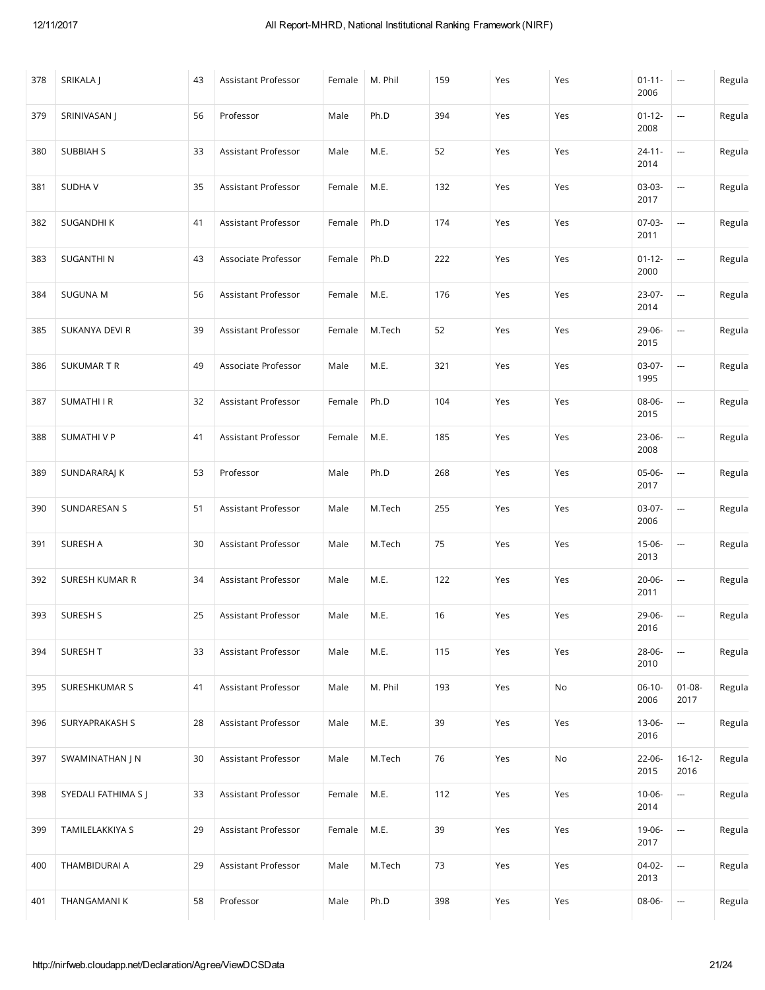| 378 | SRIKALA J           | 43 | Assistant Professor | Female | M. Phil | 159 | Yes | Yes | $01 - 11 -$<br>2006 | $\hspace{0.05cm} \cdots$ | Regula |
|-----|---------------------|----|---------------------|--------|---------|-----|-----|-----|---------------------|--------------------------|--------|
| 379 | SRINIVASAN J        | 56 | Professor           | Male   | Ph.D    | 394 | Yes | Yes | $01 - 12 -$<br>2008 | ---                      | Regula |
| 380 | SUBBIAH S           | 33 | Assistant Professor | Male   | M.E.    | 52  | Yes | Yes | $24 - 11 -$<br>2014 | ---                      | Regula |
| 381 | <b>SUDHAV</b>       | 35 | Assistant Professor | Female | M.E.    | 132 | Yes | Yes | 03-03-<br>2017      | ---                      | Regula |
| 382 | SUGANDHI K          | 41 | Assistant Professor | Female | Ph.D    | 174 | Yes | Yes | 07-03-<br>2011      | ---                      | Regula |
| 383 | <b>SUGANTHIN</b>    | 43 | Associate Professor | Female | Ph.D    | 222 | Yes | Yes | $01 - 12 -$<br>2000 | $\overline{\phantom{a}}$ | Regula |
| 384 | <b>SUGUNA M</b>     | 56 | Assistant Professor | Female | M.E.    | 176 | Yes | Yes | 23-07-<br>2014      | ---                      | Regula |
| 385 | SUKANYA DEVI R      | 39 | Assistant Professor | Female | M.Tech  | 52  | Yes | Yes | 29-06-<br>2015      | ---                      | Regula |
| 386 | SUKUMAR T R         | 49 | Associate Professor | Male   | M.E.    | 321 | Yes | Yes | 03-07-<br>1995      | ---                      | Regula |
| 387 | SUMATHI I R         | 32 | Assistant Professor | Female | Ph.D    | 104 | Yes | Yes | 08-06-<br>2015      | ---                      | Regula |
| 388 | SUMATHI V P         | 41 | Assistant Professor | Female | M.E.    | 185 | Yes | Yes | 23-06-<br>2008      | ---                      | Regula |
| 389 | SUNDARARAJ K        | 53 | Professor           | Male   | Ph.D    | 268 | Yes | Yes | 05-06-<br>2017      | ---                      | Regula |
| 390 | SUNDARESAN S        | 51 | Assistant Professor | Male   | M.Tech  | 255 | Yes | Yes | 03-07-<br>2006      | ---                      | Regula |
| 391 | SURESH A            | 30 | Assistant Professor | Male   | M.Tech  | 75  | Yes | Yes | 15-06-<br>2013      | ---                      | Regula |
| 392 | SURESH KUMAR R      | 34 | Assistant Professor | Male   | M.E.    | 122 | Yes | Yes | 20-06-<br>2011      | ---                      | Regula |
| 393 | SURESH S            | 25 | Assistant Professor | Male   | M.E.    | 16  | Yes | Yes | 29-06-<br>2016      | --                       | Regula |
| 394 | SURESH T            | 33 | Assistant Professor | Male   | M.E.    | 115 | Yes | Yes | 28-06-<br>2010      | $\overline{\phantom{a}}$ | Regula |
| 395 | SURESHKUMAR S       | 41 | Assistant Professor | Male   | M. Phil | 193 | Yes | No  | $06-10-$<br>2006    | $01 - 08 -$<br>2017      | Regula |
| 396 | SURYAPRAKASH S      | 28 | Assistant Professor | Male   | M.E.    | 39  | Yes | Yes | 13-06-<br>2016      | ---                      | Regula |
| 397 | SWAMINATHAN J N     | 30 | Assistant Professor | Male   | M.Tech  | 76  | Yes | No  | 22-06-<br>2015      | $16 - 12 -$<br>2016      | Regula |
| 398 | SYEDALI FATHIMA S J | 33 | Assistant Professor | Female | M.E.    | 112 | Yes | Yes | $10 - 06 -$<br>2014 | $\overline{\phantom{a}}$ | Regula |
| 399 | TAMILELAKKIYA S     | 29 | Assistant Professor | Female | M.E.    | 39  | Yes | Yes | 19-06-<br>2017      | --                       | Regula |
| 400 | THAMBIDURAI A       | 29 | Assistant Professor | Male   | M.Tech  | 73  | Yes | Yes | 04-02-<br>2013      | --                       | Regula |
| 401 | THANGAMANI K        | 58 | Professor           | Male   | Ph.D    | 398 | Yes | Yes | 08-06-              | --                       | Regula |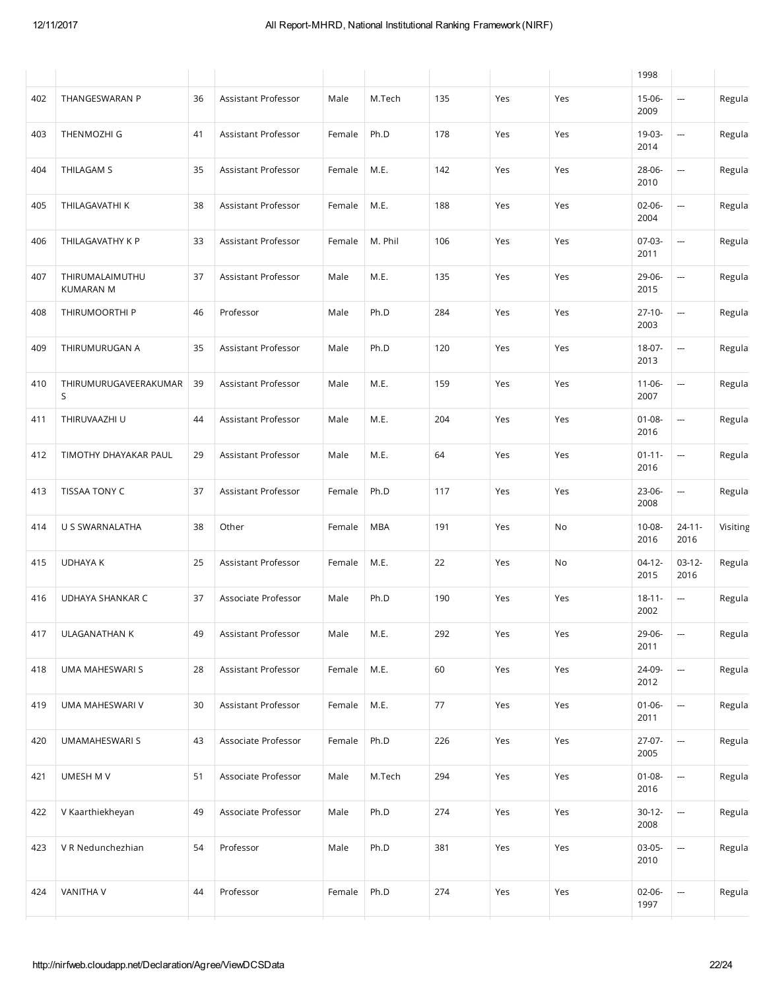|     |                                     |    |                     |        |            |        |     |     | 1998                |                          |          |
|-----|-------------------------------------|----|---------------------|--------|------------|--------|-----|-----|---------------------|--------------------------|----------|
| 402 | THANGESWARAN P                      | 36 | Assistant Professor | Male   | M.Tech     | 135    | Yes | Yes | $15-06-$<br>2009    | ---                      | Regula   |
| 403 | THENMOZHI G                         | 41 | Assistant Professor | Female | Ph.D       | 178    | Yes | Yes | 19-03-<br>2014      | ---                      | Regula   |
| 404 | THILAGAM S                          | 35 | Assistant Professor | Female | M.E.       | 142    | Yes | Yes | 28-06-<br>2010      | ---                      | Regula   |
| 405 | THILAGAVATHI K                      | 38 | Assistant Professor | Female | M.E.       | 188    | Yes | Yes | 02-06-<br>2004      |                          | Regula   |
| 406 | THILAGAVATHY K P                    | 33 | Assistant Professor | Female | M. Phil    | 106    | Yes | Yes | 07-03-<br>2011      |                          | Regula   |
| 407 | THIRUMALAIMUTHU<br><b>KUMARAN M</b> | 37 | Assistant Professor | Male   | M.E.       | 135    | Yes | Yes | 29-06-<br>2015      | ---                      | Regula   |
| 408 | THIRUMOORTHI P                      | 46 | Professor           | Male   | Ph.D       | 284    | Yes | Yes | $27-10-$<br>2003    | ---                      | Regula   |
| 409 | THIRUMURUGAN A                      | 35 | Assistant Professor | Male   | Ph.D       | 120    | Yes | Yes | 18-07-<br>2013      | --                       | Regula   |
| 410 | THIRUMURUGAVEERAKUMAR<br>S          | 39 | Assistant Professor | Male   | M.E.       | 159    | Yes | Yes | $11-06-$<br>2007    | ---                      | Regula   |
| 411 | THIRUVAAZHI U                       | 44 | Assistant Professor | Male   | M.E.       | 204    | Yes | Yes | $01 - 08 -$<br>2016 | ---                      | Regula   |
| 412 | TIMOTHY DHAYAKAR PAUL               | 29 | Assistant Professor | Male   | M.E.       | 64     | Yes | Yes | $01 - 11 -$<br>2016 | ---                      | Regula   |
| 413 | TISSAA TONY C                       | 37 | Assistant Professor | Female | Ph.D       | 117    | Yes | Yes | 23-06-<br>2008      | ---                      | Regula   |
| 414 | U S SWARNALATHA                     | 38 | Other               | Female | <b>MBA</b> | 191    | Yes | No  | $10 - 08 -$<br>2016 | $24 - 11 -$<br>2016      | Visiting |
| 415 | <b>UDHAYA K</b>                     | 25 | Assistant Professor | Female | M.E.       | 22     | Yes | No  | $04-12-$<br>2015    | $03-12-$<br>2016         | Regula   |
| 416 | UDHAYA SHANKAR C                    | 37 | Associate Professor | Male   | Ph.D       | 190    | Yes | Yes | $18 - 11 -$<br>2002 | $\overline{\phantom{a}}$ | Regula   |
| 417 | ULAGANATHAN K                       | 49 | Assistant Professor | Male   | M.E.       | 292    | Yes | Yes | 29-06-<br>2011      | ---                      | Regula   |
| 418 | UMA MAHESWARI S                     | 28 | Assistant Professor | Female | M.E.       | 60     | Yes | Yes | 24-09-<br>2012      | ---                      | Regula   |
| 419 | UMA MAHESWARI V                     | 30 | Assistant Professor | Female | M.E.       | $77\,$ | Yes | Yes | $01 - 06 -$<br>2011 | --                       | Regula   |
| 420 | <b>UMAMAHESWARI S</b>               | 43 | Associate Professor | Female | Ph.D       | 226    | Yes | Yes | 27-07-<br>2005      | --                       | Regula   |
| 421 | UMESH M V                           | 51 | Associate Professor | Male   | M.Tech     | 294    | Yes | Yes | $01 - 08 -$<br>2016 | ---                      | Regula   |
| 422 | V Kaarthiekheyan                    | 49 | Associate Professor | Male   | Ph.D       | 274    | Yes | Yes | $30-12-$<br>2008    | ---                      | Regula   |
| 423 | V R Nedunchezhian                   | 54 | Professor           | Male   | Ph.D       | 381    | Yes | Yes | 03-05-<br>2010      |                          | Regula   |
| 424 | VANITHA V                           | 44 | Professor           | Female | Ph.D       | 274    | Yes | Yes | 02-06-<br>1997      | --                       | Regula   |
|     |                                     |    |                     |        |            |        |     |     |                     |                          |          |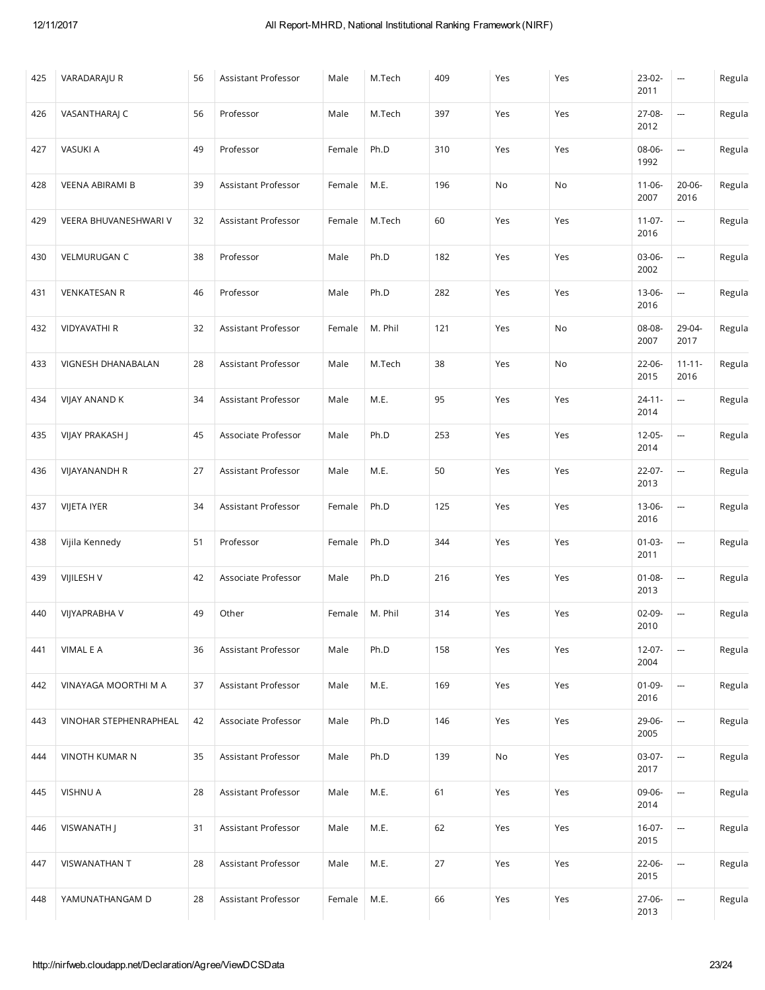| 425 | VARADARAJU R           | 56 | Assistant Professor | Male   | M.Tech  | 409 | Yes | Yes | 23-02-<br>2011      | $\overline{a}$           | Regula |
|-----|------------------------|----|---------------------|--------|---------|-----|-----|-----|---------------------|--------------------------|--------|
| 426 | VASANTHARAJ C          | 56 | Professor           | Male   | M.Tech  | 397 | Yes | Yes | 27-08-<br>2012      | ---                      | Regula |
| 427 | VASUKI A               | 49 | Professor           | Female | Ph.D    | 310 | Yes | Yes | 08-06-<br>1992      | ---                      | Regula |
| 428 | VEENA ABIRAMI B        | 39 | Assistant Professor | Female | M.E.    | 196 | No  | No  | $11-06-$<br>2007    | $20 - 06 -$<br>2016      | Regula |
| 429 | VEERA BHUVANESHWARI V  | 32 | Assistant Professor | Female | M.Tech  | 60  | Yes | Yes | $11-07-$<br>2016    | ---                      | Regula |
| 430 | VELMURUGAN C           | 38 | Professor           | Male   | Ph.D    | 182 | Yes | Yes | 03-06-<br>2002      | $\overline{\phantom{a}}$ | Regula |
| 431 | <b>VENKATESAN R</b>    | 46 | Professor           | Male   | Ph.D    | 282 | Yes | Yes | 13-06-<br>2016      | ---                      | Regula |
| 432 | <b>VIDYAVATHI R</b>    | 32 | Assistant Professor | Female | M. Phil | 121 | Yes | No  | 08-08-<br>2007      | 29-04-<br>2017           | Regula |
| 433 | VIGNESH DHANABALAN     | 28 | Assistant Professor | Male   | M.Tech  | 38  | Yes | No  | 22-06-<br>2015      | $11 - 11 -$<br>2016      | Regula |
| 434 | VIJAY ANAND K          | 34 | Assistant Professor | Male   | M.E.    | 95  | Yes | Yes | $24 - 11 -$<br>2014 | $\overline{\phantom{a}}$ | Regula |
| 435 | VIJAY PRAKASH J        | 45 | Associate Professor | Male   | Ph.D    | 253 | Yes | Yes | $12 - 05 -$<br>2014 |                          | Regula |
| 436 | <b>VIJAYANANDH R</b>   | 27 | Assistant Professor | Male   | M.E.    | 50  | Yes | Yes | $22-07-$<br>2013    | $\overline{\phantom{a}}$ | Regula |
| 437 | VIJETA IYER            | 34 | Assistant Professor | Female | Ph.D    | 125 | Yes | Yes | 13-06-<br>2016      | ---                      | Regula |
| 438 | Vijila Kennedy         | 51 | Professor           | Female | Ph.D    | 344 | Yes | Yes | $01-03-$<br>2011    | $\overline{\phantom{a}}$ | Regula |
| 439 | VIJILESH V             | 42 | Associate Professor | Male   | Ph.D    | 216 | Yes | Yes | $01 - 08 -$<br>2013 | ---                      | Regula |
| 440 | VIJYAPRABHA V          | 49 | Other               | Female | M. Phil | 314 | Yes | Yes | 02-09-<br>2010      | $\overline{\phantom{a}}$ | Regula |
| 441 | VIMAL E A              | 36 | Assistant Professor | Male   | Ph.D    | 158 | Yes | Yes | $12 - 07 -$<br>2004 | --                       | Regula |
| 442 | VINAYAGA MOORTHI M A   | 37 | Assistant Professor | Male   | M.E.    | 169 | Yes | Yes | $01-09-$<br>2016    | --                       | Regula |
| 443 | VINOHAR STEPHENRAPHEAL | 42 | Associate Professor | Male   | Ph.D    | 146 | Yes | Yes | 29-06-<br>2005      | $\overline{\phantom{a}}$ | Regula |
| 444 | VINOTH KUMAR N         | 35 | Assistant Professor | Male   | Ph.D    | 139 | No  | Yes | 03-07-<br>2017      | $\overline{\phantom{a}}$ | Regula |
| 445 | <b>VISHNU A</b>        | 28 | Assistant Professor | Male   | M.E.    | 61  | Yes | Yes | 09-06-<br>2014      | ---                      | Regula |
| 446 | VISWANATH J            | 31 | Assistant Professor | Male   | M.E.    | 62  | Yes | Yes | $16-07-$<br>2015    | ---                      | Regula |
| 447 | <b>VISWANATHAN T</b>   | 28 | Assistant Professor | Male   | M.E.    | 27  | Yes | Yes | 22-06-<br>2015      | ---                      | Regula |
| 448 | YAMUNATHANGAM D        | 28 | Assistant Professor | Female | M.E.    | 66  | Yes | Yes | 27-06-<br>2013      | --                       | Regula |